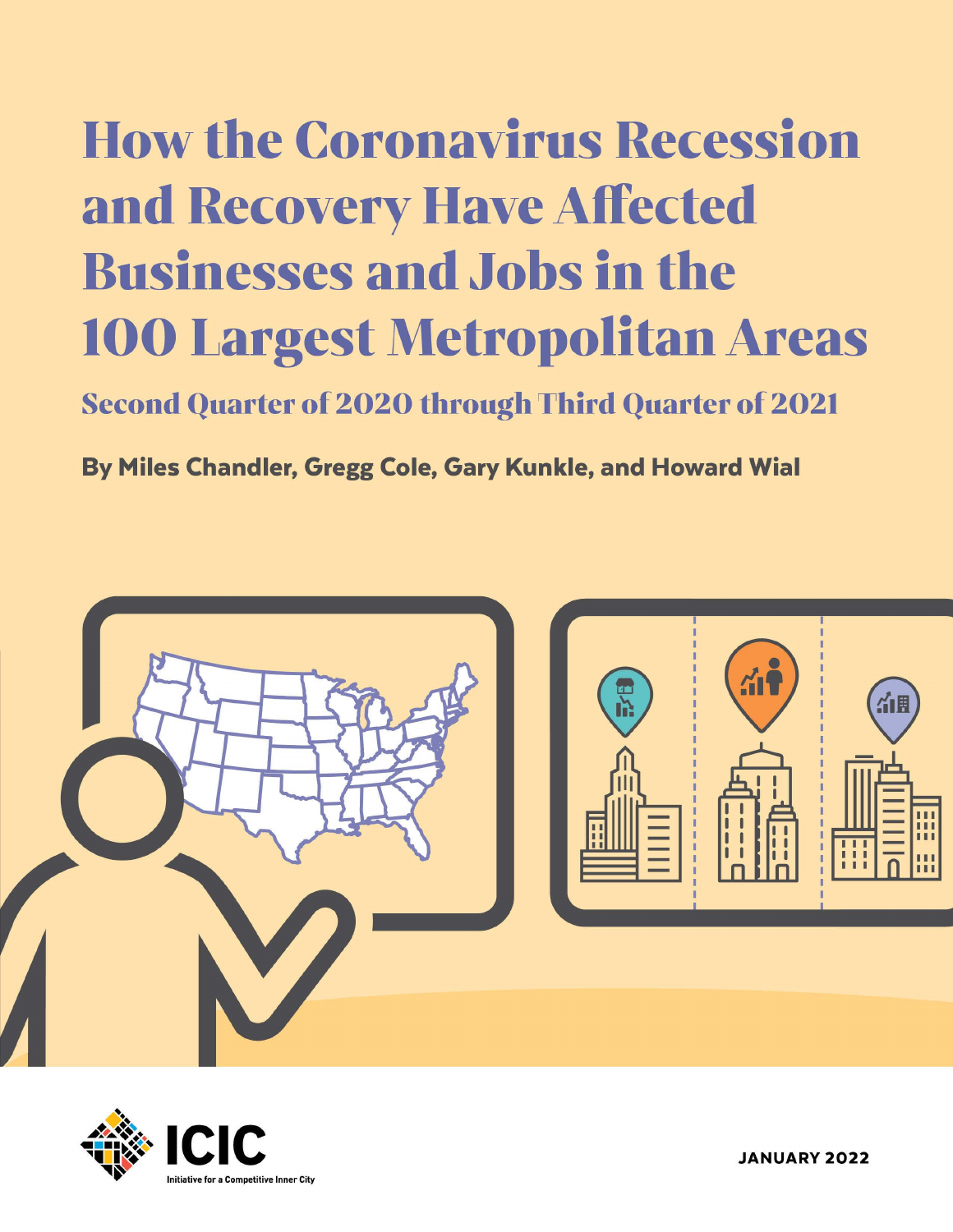# How the Coronavirus Recession and Recovery Have Affected Businesses and Jobs in the 100 Largest Metropolitan Areas

Second Quarter of 2020 through Third Quarter of 2021

By Miles Chandler, Gregg Cole, Gary Kunkle, and Howard Wial





JANUARY **2022**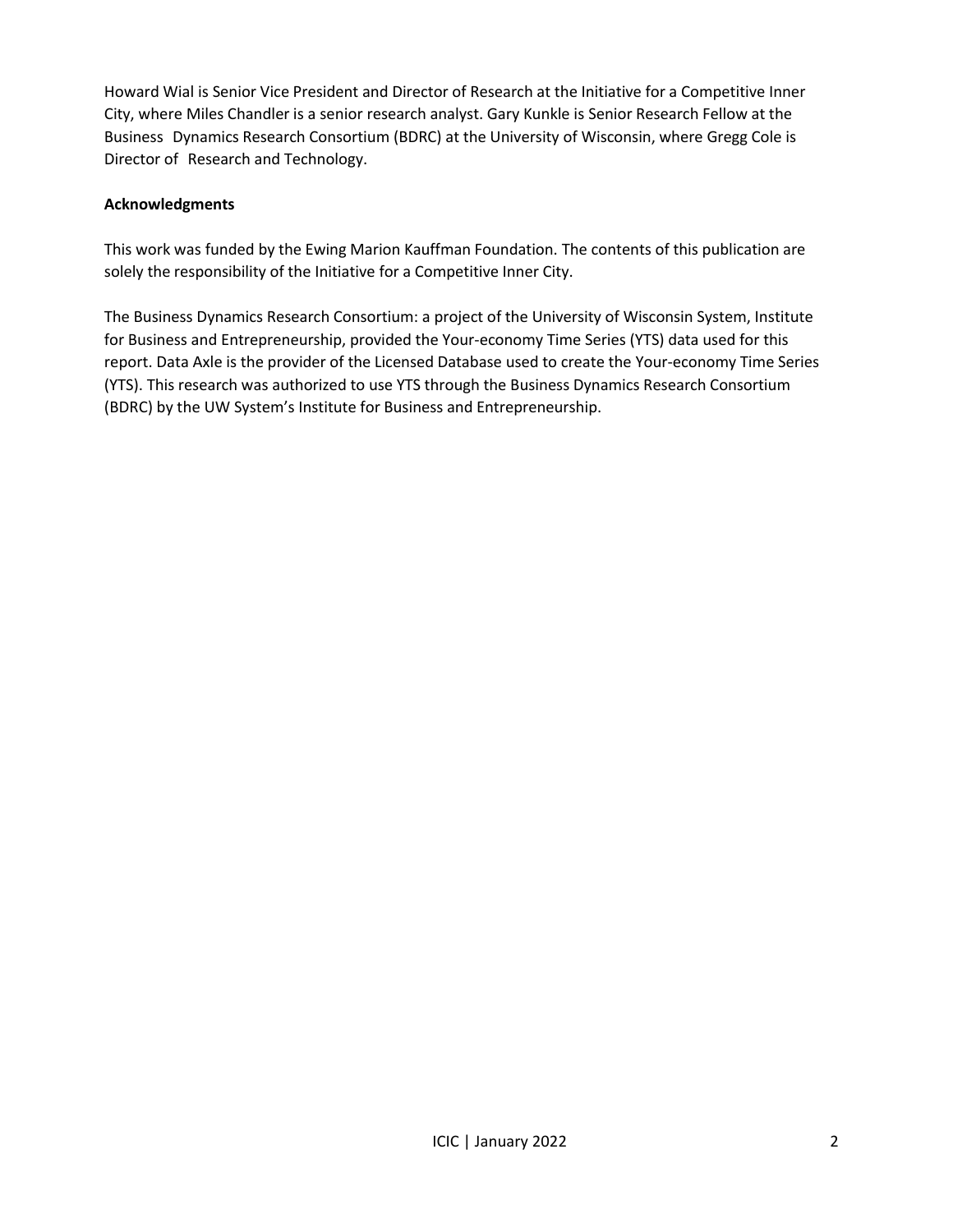Howard Wial is Senior Vice President and Director of Research at the Initiative for a Competitive Inner City, where Miles Chandler is a senior research analyst. Gary Kunkle is Senior Research Fellow at the Business Dynamics Research Consortium (BDRC) at the University of Wisconsin, where Gregg Cole is Director of Research and Technology.

### **Acknowledgments**

This work was funded by the Ewing Marion Kauffman Foundation. The contents of this publication are solely the responsibility of the Initiative for a Competitive Inner City.

The Business Dynamics Research Consortium: a project of the University of Wisconsin System, Institute for Business and Entrepreneurship, provided the Your-economy Time Series (YTS) data used for this report. Data Axle is the provider of the Licensed Database used to create the Your-economy Time Series (YTS). This research was authorized to use YTS through the Business Dynamics Research Consortium (BDRC) by the UW System's Institute for Business and Entrepreneurship.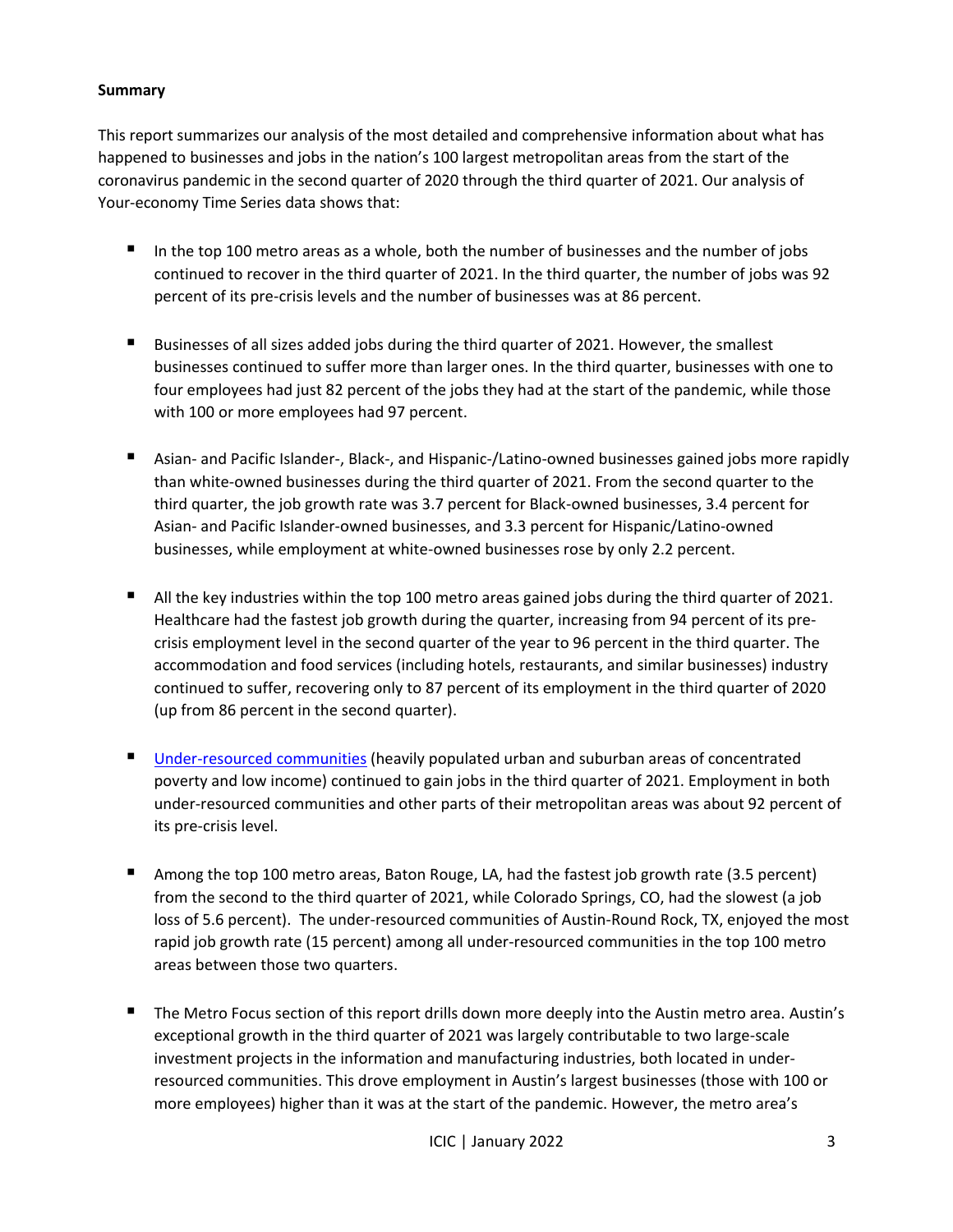#### **Summary**

This report summarizes our analysis of the most detailed and comprehensive information about what has happened to businesses and jobs in the nation's 100 largest metropolitan areas from the start of the coronavirus pandemic in the second quarter of 2020 through the third quarter of 2021. Our analysis of Your-economy Time Series data shows that:

- In the top 100 metro areas as a whole, both the number of businesses and the number of jobs continued to recover in the third quarter of 2021. In the third quarter, the number of jobs was 92 percent of its pre-crisis levels and the number of businesses was at 86 percent.
- Businesses of all sizes added jobs during the third quarter of 2021. However, the smallest businesses continued to suffer more than larger ones. In the third quarter, businesses with one to four employees had just 82 percent of the jobs they had at the start of the pandemic, while those with 100 or more employees had 97 percent.
- Asian- and Pacific Islander-, Black-, and Hispanic-/Latino-owned businesses gained jobs more rapidly than white-owned businesses during the third quarter of 2021. From the second quarter to the third quarter, the job growth rate was 3.7 percent for Black-owned businesses, 3.4 percent for Asian- and Pacific Islander-owned businesses, and 3.3 percent for Hispanic/Latino-owned businesses, while employment at white-owned businesses rose by only 2.2 percent.
- All the key industries within the top 100 metro areas gained jobs during the third quarter of 2021. Healthcare had the fastest job growth during the quarter, increasing from 94 percent of its precrisis employment level in the second quarter of the year to 96 percent in the third quarter. The accommodation and food services (including hotels, restaurants, and similar businesses) industry continued to suffer, recovering only to 87 percent of its employment in the third quarter of 2020 (up from 86 percent in the second quarter).
- [Under-resourced communities](https://icic.org/wp-content/uploads/2020/10/The-New-Face-of_Under-Resourced-Communities.pdf) (heavily populated urban and suburban areas of concentrated poverty and low income) continued to gain jobs in the third quarter of 2021. Employment in both under-resourced communities and other parts of their metropolitan areas was about 92 percent of its pre-crisis level.
- Among the top 100 metro areas, Baton Rouge, LA, had the fastest job growth rate (3.5 percent) from the second to the third quarter of 2021, while Colorado Springs, CO, had the slowest (a job loss of 5.6 percent). The under-resourced communities of Austin-Round Rock, TX, enjoyed the most rapid job growth rate (15 percent) among all under-resourced communities in the top 100 metro areas between those two quarters.
- The Metro Focus section of this report drills down more deeply into the Austin metro area. Austin's exceptional growth in the third quarter of 2021 was largely contributable to two large-scale investment projects in the information and manufacturing industries, both located in underresourced communities. This drove employment in Austin's largest businesses (those with 100 or more employees) higher than it was at the start of the pandemic. However, the metro area's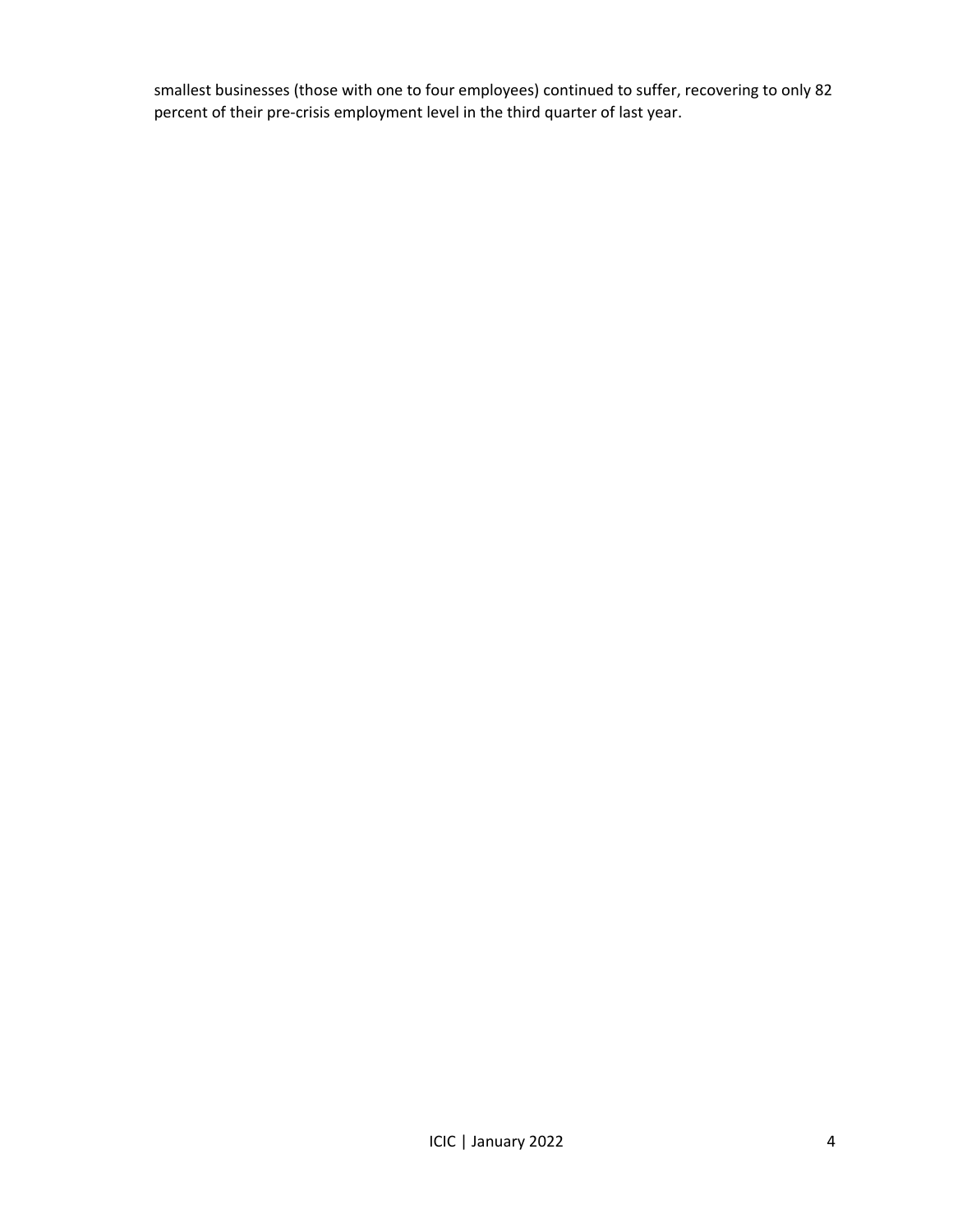smallest businesses (those with one to four employees) continued to suffer, recovering to only 82 percent of their pre-crisis employment level in the third quarter of last year.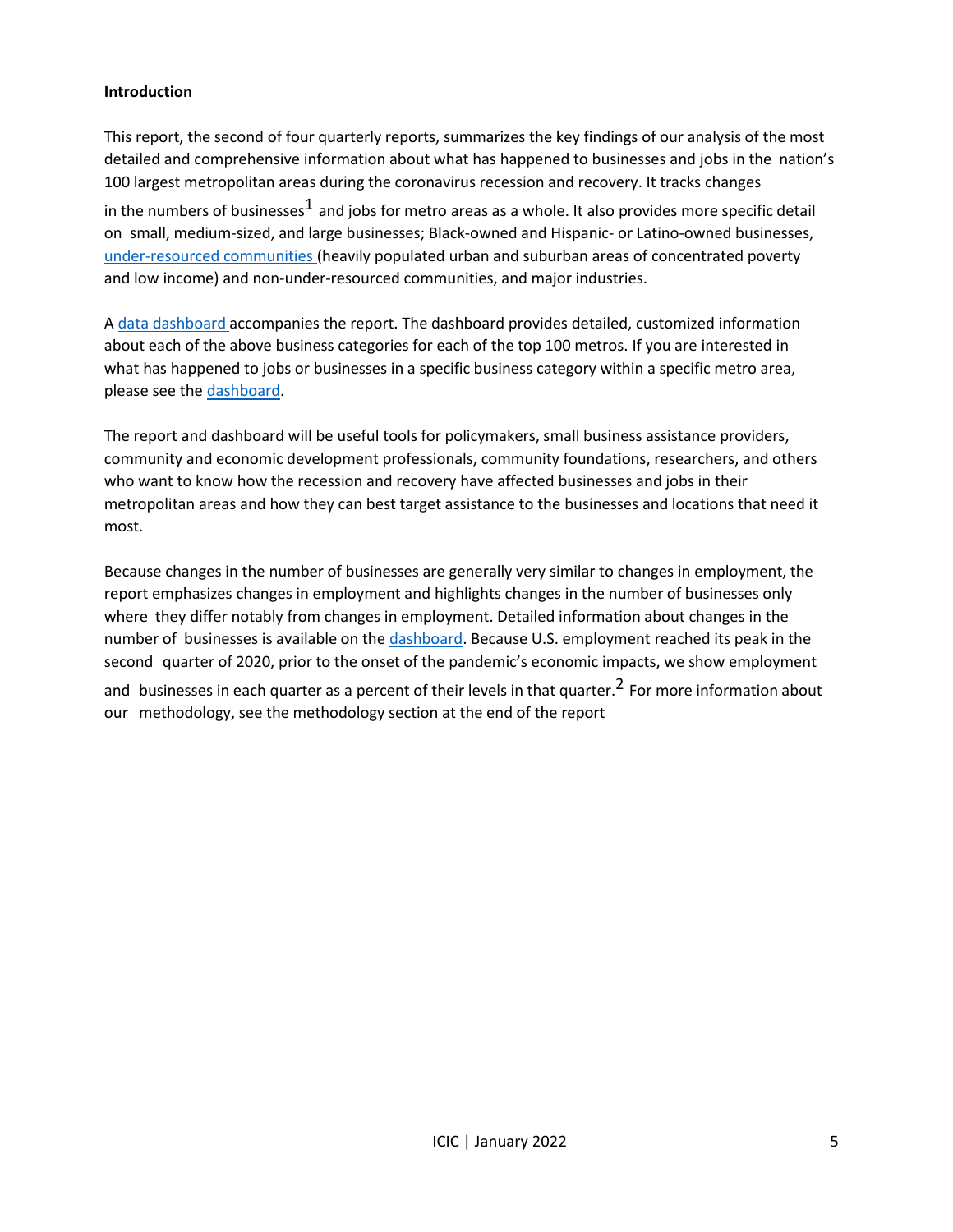#### **Introduction**

This report, the second of four quarterly reports, summarizes the key findings of our analysis of the most detailed and comprehensive information about what has happened to businesses and jobs in the nation's 100 largest metropolitan areas during the coronavirus recession and recovery. It tracks changes in the numbers of businesses<sup>1</sup> and jobs for metro areas as a whole. It also provides more specific detail on small, medium-sized, and large businesses; Black-owned and Hispanic- or Latino-owned businesses, under-resourced communities (heavily populated urban and suburban areas of concentrated poverty and low income) and non-under-resourced communities, and major industries.

A data [dashboard](http://youreconomy.org/topmetrorecoverytracker) accompanies the report. The dashboard provides detailed, customized information about each of the above business categories for each of the top 100 metros. If you are interested in what has happened to jobs or businesses in a specific business category within a specific metro area, please see the [dashboard.](http://youreconomy.org/topmetrorecoverytracker)

The report and dashboard will be useful tools for policymakers, small business assistance providers, community and economic development professionals, community foundations, researchers, and others who want to know how the recession and recovery have affected businesses and jobs in their metropolitan areas and how they can best target assistance to the businesses and locations that need it most.

Because changes in the number of businesses are generally very similar to changes in employment, the report emphasizes changes in employment and highlights changes in the number of businesses only where they differ notably from changes in employment. Detailed information about changes in the number of businesses is available on the [dashboard.](http://youreconomy.org/topmetrorecoverytracker) Because U.S. employment reached its peak in the second quarter of 2020, prior to the onset of the pandemic's economic impacts, we show employment and businesses in each quarter as a percent of their levels in that quarter.<sup>2</sup> For more information about our methodology, see the methodology section at the end of the report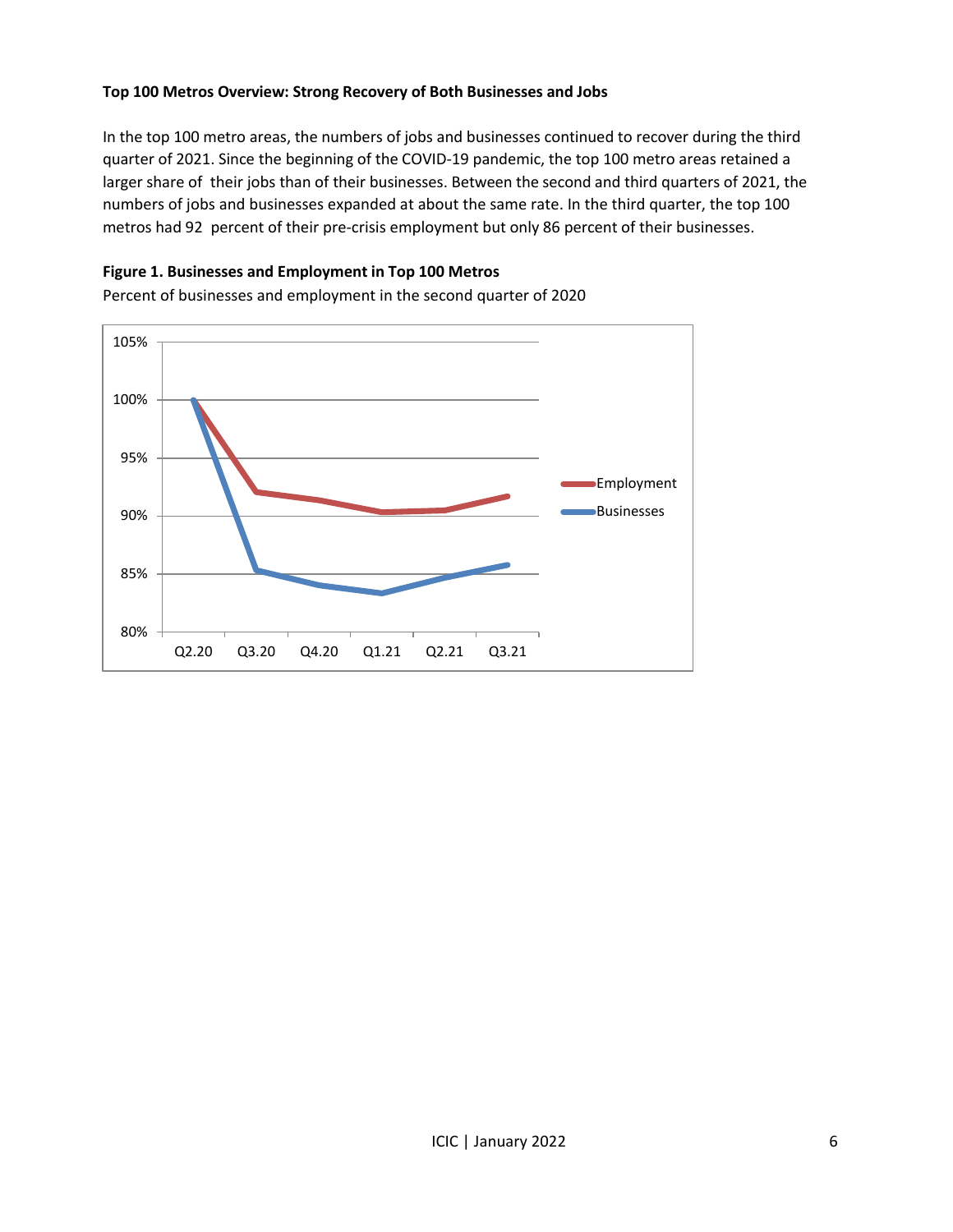#### **Top 100 Metros Overview: Strong Recovery of Both Businesses and Jobs**

In the top 100 metro areas, the numbers of jobs and businesses continued to recover during the third quarter of 2021. Since the beginning of the COVID-19 pandemic, the top 100 metro areas retained a larger share of their jobs than of their businesses. Between the second and third quarters of 2021, the numbers of jobs and businesses expanded at about the same rate. In the third quarter, the top 100 metros had 92 percent of their pre-crisis employment but only 86 percent of their businesses.

#### **Figure 1. Businesses and Employment in Top 100 Metros**

80% 85% 90% 95% 100% 105% Q2.20 Q3.20 Q4.20 Q1.21 Q2.21 Q3.21 Employment Businesses

Percent of businesses and employment in the second quarter of 2020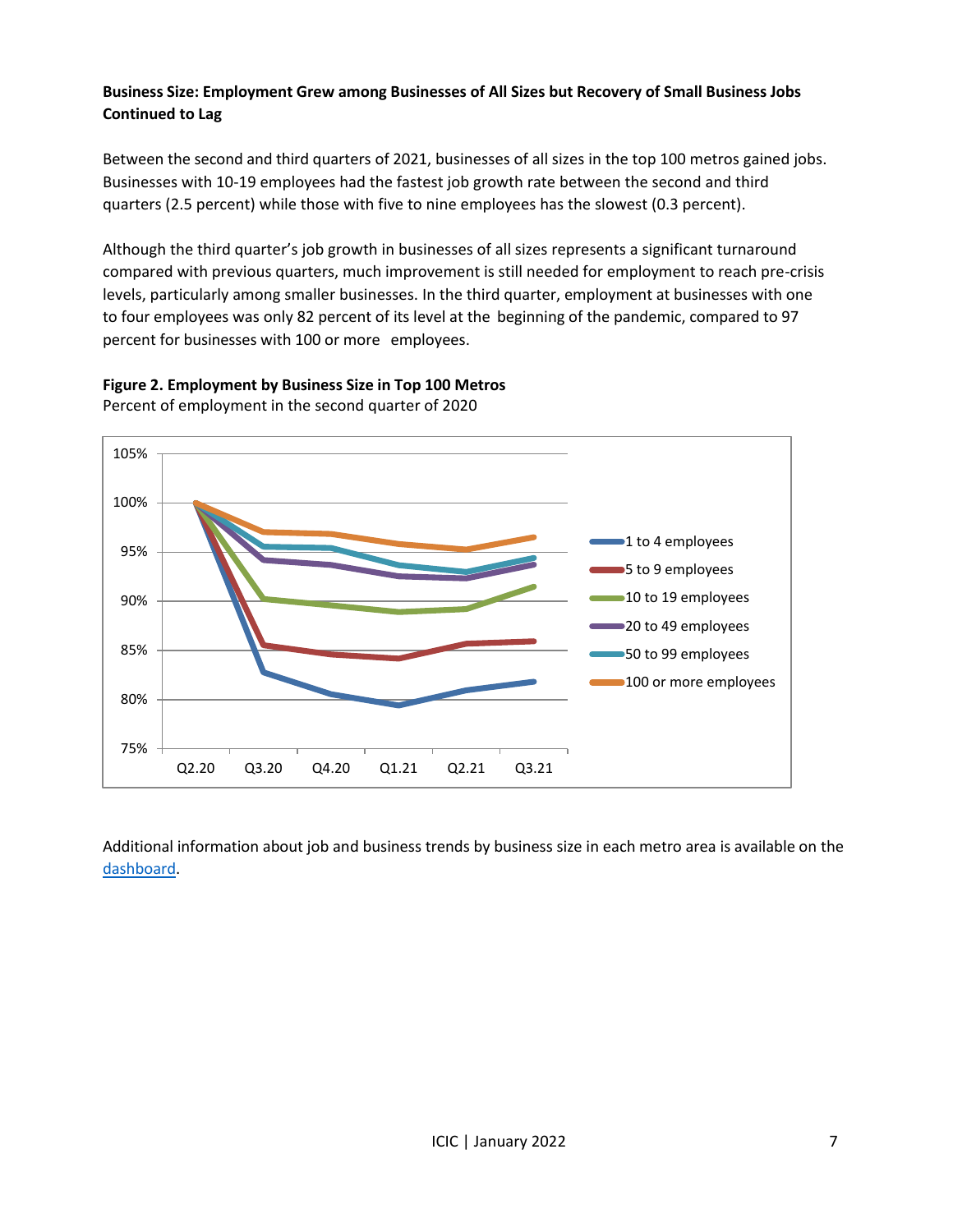# **Business Size: Employment Grew among Businesses of All Sizes but Recovery of Small Business Jobs Continued to Lag**

Between the second and third quarters of 2021, businesses of all sizes in the top 100 metros gained jobs. Businesses with 10-19 employees had the fastest job growth rate between the second and third quarters (2.5 percent) while those with five to nine employees has the slowest (0.3 percent).

Although the third quarter's job growth in businesses of all sizes represents a significant turnaround compared with previous quarters, much improvement is still needed for employment to reach pre-crisis levels, particularly among smaller businesses. In the third quarter, employment at businesses with one to four employees was only 82 percent of its level at the beginning of the pandemic, compared to 97 percent for businesses with 100 or more employees.



**Figure 2. Employment by Business Size in Top 100 Metros** Percent of employment in the second quarter of 2020

Additional information about job and business trends by business size in each metro area is available on the [dashboard.](http://youreconomy.org/topmetrorecoverytracker)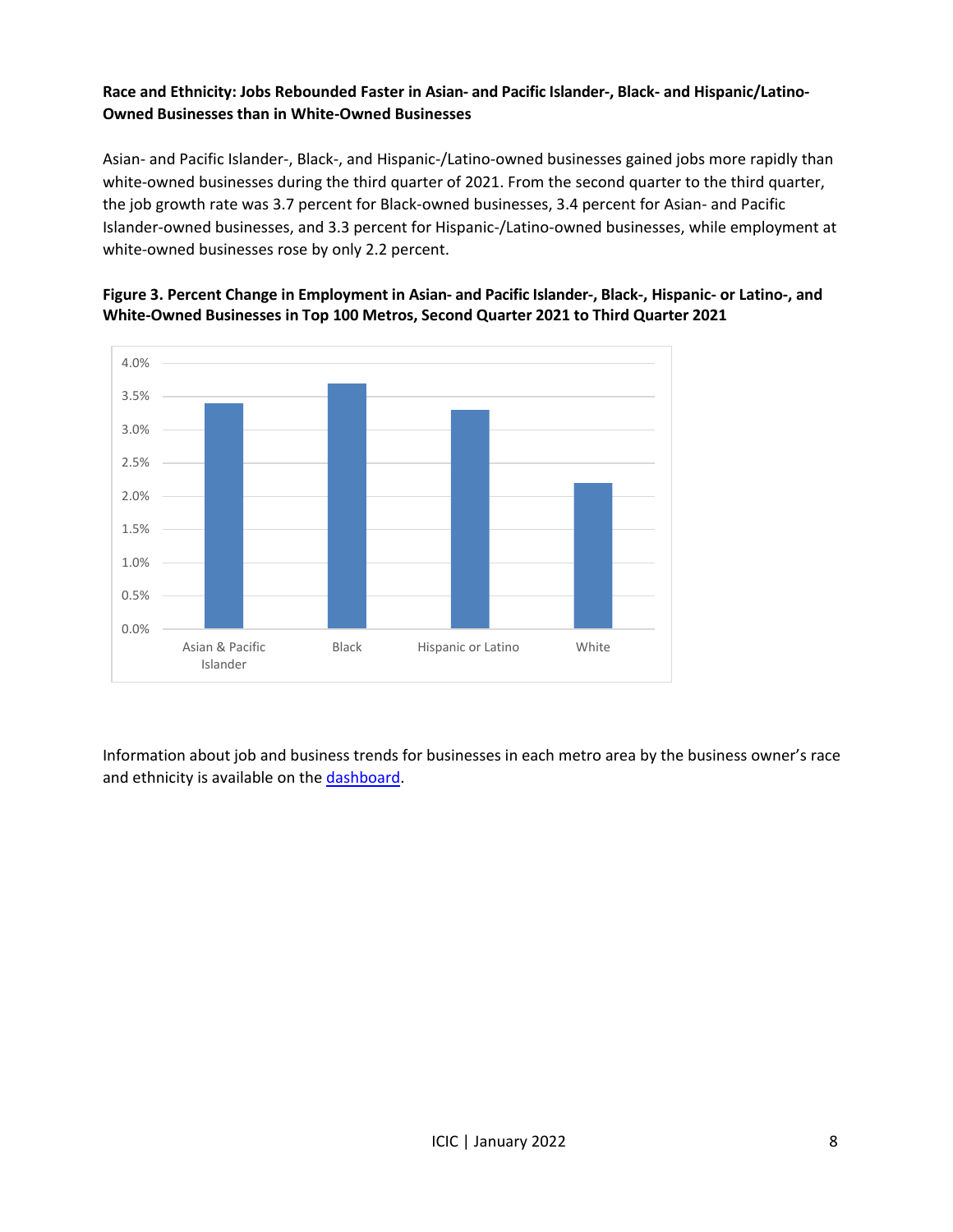# **Race and Ethnicity: Jobs Rebounded Faster in Asian- and Pacific Islander-, Black- and Hispanic/Latino-Owned Businesses than in White-Owned Businesses**

Asian- and Pacific Islander-, Black-, and Hispanic-/Latino-owned businesses gained jobs more rapidly than white-owned businesses during the third quarter of 2021. From the second quarter to the third quarter, the job growth rate was 3.7 percent for Black-owned businesses, 3.4 percent for Asian- and Pacific Islander-owned businesses, and 3.3 percent for Hispanic-/Latino-owned businesses, while employment at white-owned businesses rose by only 2.2 percent.





Information about job and business trends for businesses in each metro area by the business owner's race and ethnicity is available on the [dashboard.](https://youreconomy.org/topmetrorecoverytracker/)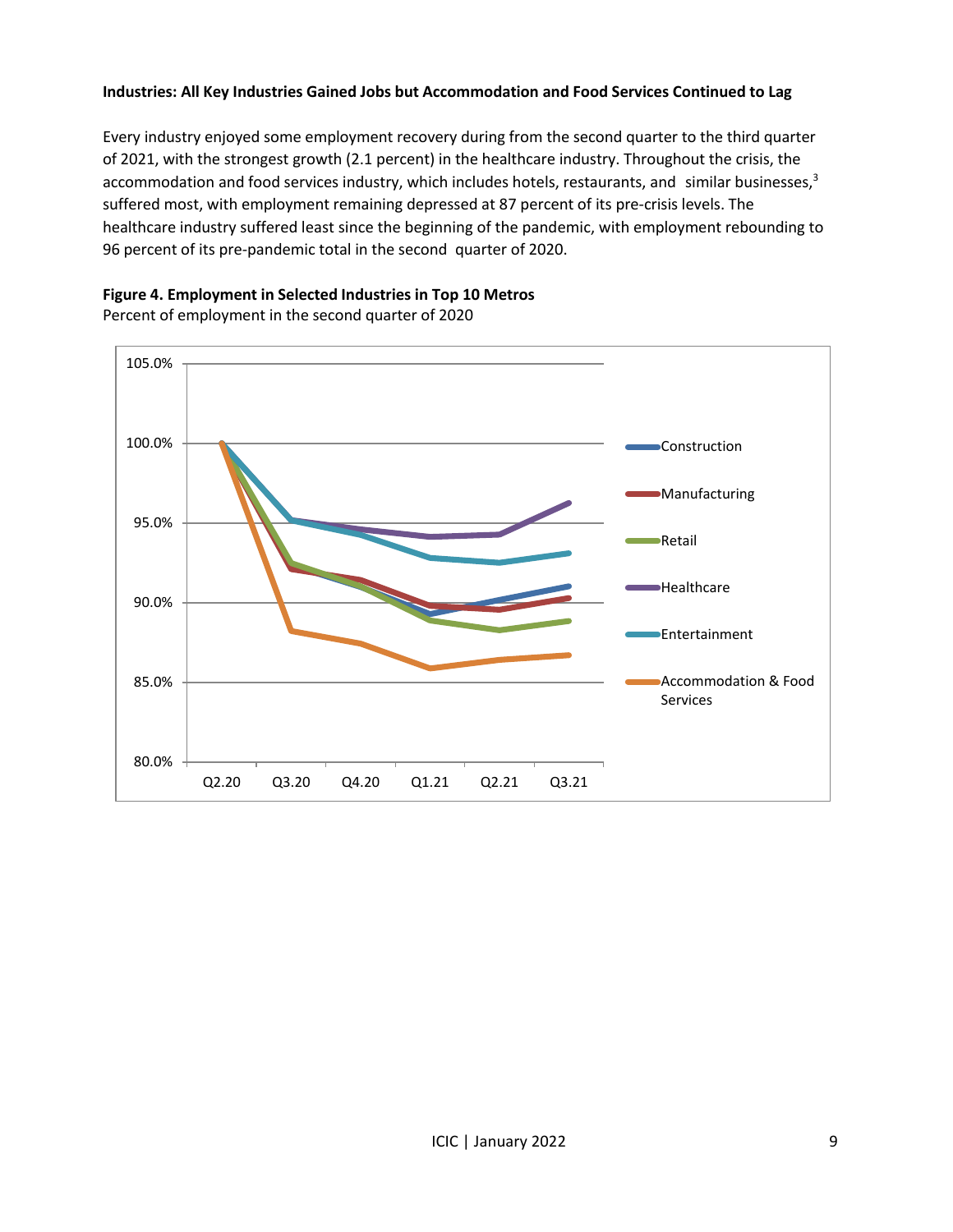#### **Industries: All Key Industries Gained Jobs but Accommodation and Food Services Continued to Lag**

Every industry enjoyed some employment recovery during from the second quarter to the third quarter of 2021, with the strongest growth (2.1 percent) in the healthcare industry. Throughout the crisis, the accommodation and food services industry, which includes hotels, restaurants, and similar businesses,<sup>3</sup> suffered most, with employment remaining depressed at 87 percent of its pre-crisis levels. The healthcare industry suffered least since the beginning of the pandemic, with employment rebounding to 96 percent of its pre-pandemic total in the second quarter of 2020.

#### **Figure 4. Employment in Selected Industries in Top 10 Metros**



Percent of employment in the second quarter of 2020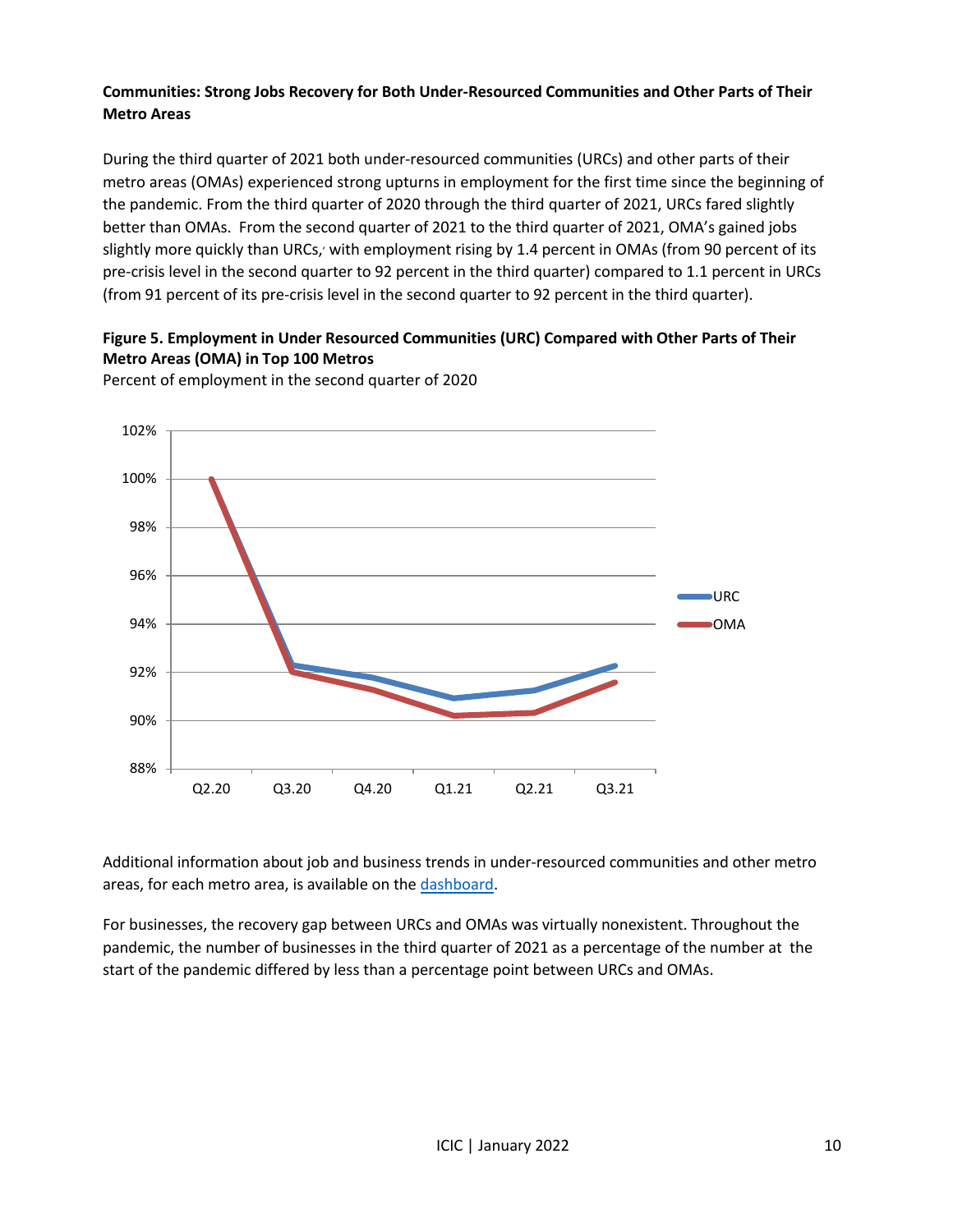# **Communities: Strong Jobs Recovery for Both Under-Resourced Communities and Other Parts of Their Metro Areas**

During the third quarter of 2021 both under-resourced communities (URCs) and other parts of their metro areas (OMAs) experienced strong upturns in employment for the first time since the beginning of the pandemic. From the third quarter of 2020 through the third quarter of 2021, URCs fared slightly better than OMAs. From the second quarter of 2021 to the third quarter of 2021, OMA's gained jobs slightly more quickly than URCs, with employment rising by 1.4 percent in OMAs (from 90 percent of its pre-crisis level in the second quarter to 92 percent in the third quarter) compared to 1.1 percent in URCs (from 91 percent of its pre-crisis level in the second quarter to 92 percent in the third quarter).

# **Figure 5. Employment in Under Resourced Communities (URC) Compared with Other Parts of Their Metro Areas (OMA) in Top 100 Metros**



Percent of employment in the second quarter of 2020

Additional information about job and business trends in under-resourced communities and other metro areas, for each metro area, is available on the [dashboard.](http://youreconomy.org/topmetrorecoverytracker)

For businesses, the recovery gap between URCs and OMAs was virtually nonexistent. Throughout the pandemic, the number of businesses in the third quarter of 2021 as a percentage of the number at the start of the pandemic differed by less than a percentage point between URCs and OMAs.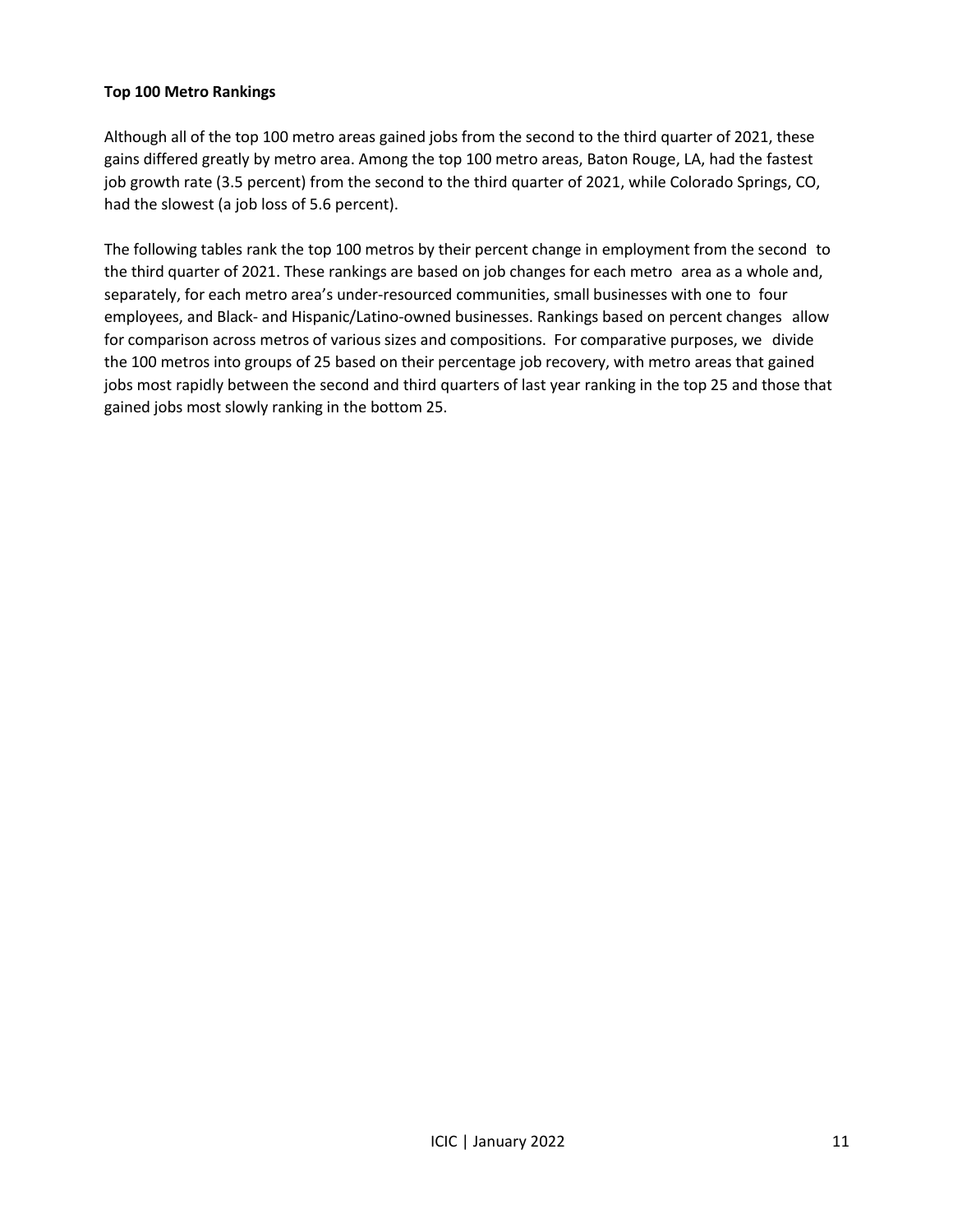#### **Top 100 Metro Rankings**

Although all of the top 100 metro areas gained jobs from the second to the third quarter of 2021, these gains differed greatly by metro area. Among the top 100 metro areas, Baton Rouge, LA, had the fastest job growth rate (3.5 percent) from the second to the third quarter of 2021, while Colorado Springs, CO, had the slowest (a job loss of 5.6 percent).

The following tables rank the top 100 metros by their percent change in employment from the second to the third quarter of 2021. These rankings are based on job changes for each metro area as a whole and, separately, for each metro area's under-resourced communities, small businesses with one to four employees, and Black- and Hispanic/Latino-owned businesses. Rankings based on percent changes allow for comparison across metros of various sizes and compositions. For comparative purposes, we divide the 100 metros into groups of 25 based on their percentage job recovery, with metro areas that gained jobs most rapidly between the second and third quarters of last year ranking in the top 25 and those that gained jobs most slowly ranking in the bottom 25.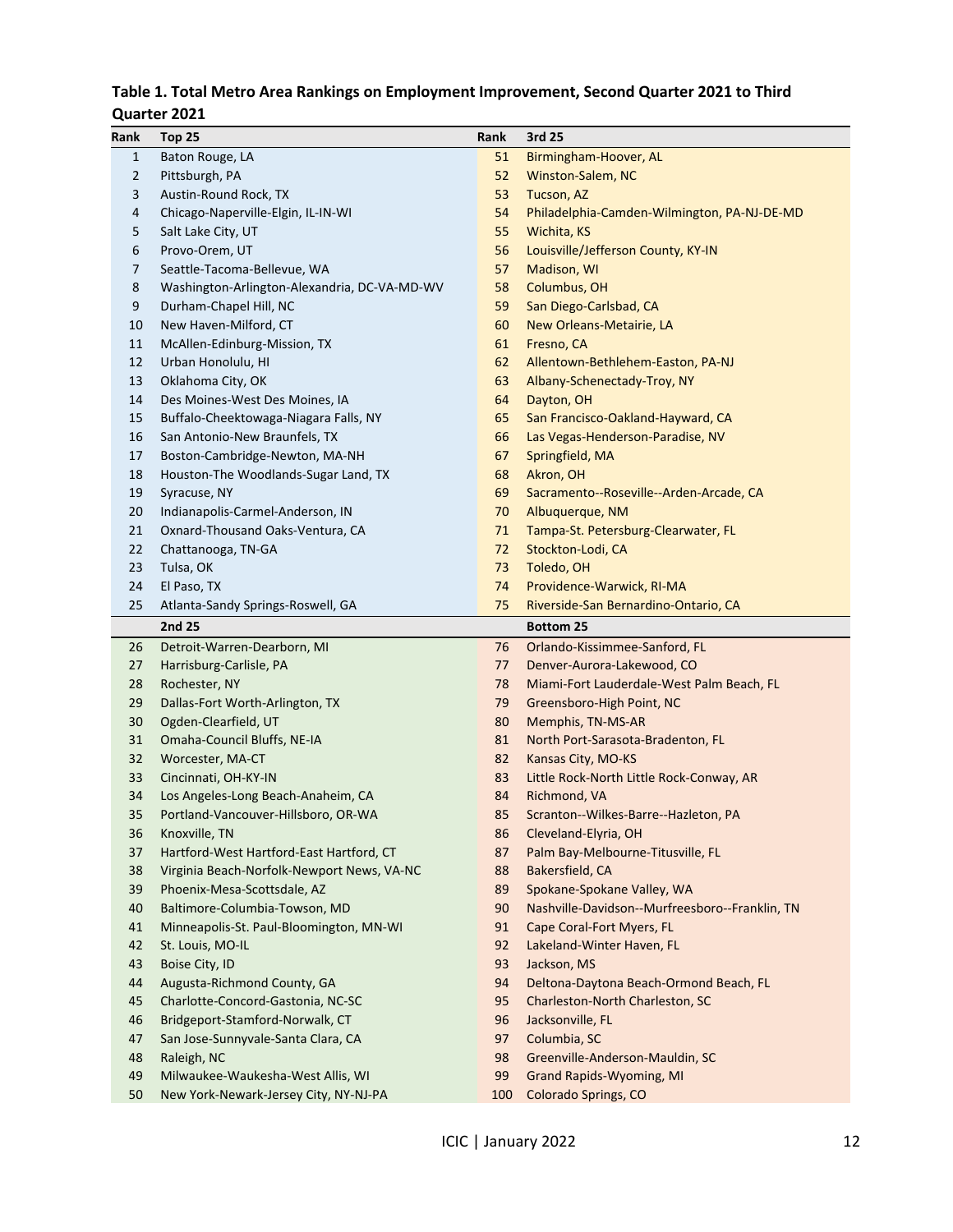# **Table 1. Total Metro Area Rankings on Employment Improvement, Second Quarter 2021 to Third**

### **Quarter 2021**

| Rank         | <b>Top 25</b>                                | Rank | 3rd 25                                         |
|--------------|----------------------------------------------|------|------------------------------------------------|
| $\mathbf{1}$ | Baton Rouge, LA                              | 51   | Birmingham-Hoover, AL                          |
| 2            | Pittsburgh, PA                               | 52   | Winston-Salem, NC                              |
| 3            | Austin-Round Rock, TX                        | 53   | Tucson, AZ                                     |
| 4            | Chicago-Naperville-Elgin, IL-IN-WI           | 54   | Philadelphia-Camden-Wilmington, PA-NJ-DE-MD    |
| 5            | Salt Lake City, UT                           | 55   | Wichita, KS                                    |
| 6            | Provo-Orem, UT                               | 56   | Louisville/Jefferson County, KY-IN             |
| 7            | Seattle-Tacoma-Bellevue, WA                  | 57   | Madison, WI                                    |
| 8            | Washington-Arlington-Alexandria, DC-VA-MD-WV | 58   | Columbus, OH                                   |
| 9            | Durham-Chapel Hill, NC                       | 59   | San Diego-Carlsbad, CA                         |
| 10           | New Haven-Milford, CT                        | 60   | New Orleans-Metairie, LA                       |
| 11           | McAllen-Edinburg-Mission, TX                 | 61   | Fresno, CA                                     |
| 12           | Urban Honolulu, HI                           | 62   | Allentown-Bethlehem-Easton, PA-NJ              |
| 13           | Oklahoma City, OK                            | 63   | Albany-Schenectady-Troy, NY                    |
| 14           | Des Moines-West Des Moines, IA               | 64   | Dayton, OH                                     |
| 15           | Buffalo-Cheektowaga-Niagara Falls, NY        | 65   | San Francisco-Oakland-Hayward, CA              |
| 16           | San Antonio-New Braunfels, TX                | 66   | Las Vegas-Henderson-Paradise, NV               |
| 17           | Boston-Cambridge-Newton, MA-NH               | 67   | Springfield, MA                                |
| 18           | Houston-The Woodlands-Sugar Land, TX         | 68   | Akron, OH                                      |
| 19           | Syracuse, NY                                 | 69   | Sacramento--Roseville--Arden-Arcade, CA        |
| 20           | Indianapolis-Carmel-Anderson, IN             | 70   | Albuquerque, NM                                |
| 21           | Oxnard-Thousand Oaks-Ventura, CA             | 71   | Tampa-St. Petersburg-Clearwater, FL            |
| 22           | Chattanooga, TN-GA                           | 72   | Stockton-Lodi, CA                              |
| 23           | Tulsa, OK                                    | 73   | Toledo, OH                                     |
| 24           | El Paso, TX                                  | 74   | Providence-Warwick, RI-MA                      |
| 25           | Atlanta-Sandy Springs-Roswell, GA            | 75   | Riverside-San Bernardino-Ontario, CA           |
|              | 2nd 25                                       |      | <b>Bottom 25</b>                               |
| 26           | Detroit-Warren-Dearborn, MI                  | 76   | Orlando-Kissimmee-Sanford, FL                  |
| 27           | Harrisburg-Carlisle, PA                      | 77   | Denver-Aurora-Lakewood, CO                     |
| 28           | Rochester, NY                                | 78   | Miami-Fort Lauderdale-West Palm Beach, FL      |
| 29           | Dallas-Fort Worth-Arlington, TX              | 79   | Greensboro-High Point, NC                      |
| 30           | Ogden-Clearfield, UT                         | 80   | Memphis, TN-MS-AR                              |
| 31           | Omaha-Council Bluffs, NE-IA                  | 81   | North Port-Sarasota-Bradenton, FL              |
| 32           | Worcester, MA-CT                             | 82   | Kansas City, MO-KS                             |
| 33           | Cincinnati, OH-KY-IN                         | 83   | Little Rock-North Little Rock-Conway, AR       |
| 34           | Los Angeles-Long Beach-Anaheim, CA           | 84   | Richmond, VA                                   |
| 35           | Portland-Vancouver-Hillsboro, OR-WA          | 85   | Scranton--Wilkes-Barre--Hazleton, PA           |
| 36           | Knoxville, TN                                | 86   | Cleveland-Elyria, OH                           |
| 37           | Hartford-West Hartford-East Hartford, CT     | 87   | Palm Bay-Melbourne-Titusville, FL              |
| 38           | Virginia Beach-Norfolk-Newport News, VA-NC   | 88   | Bakersfield, CA                                |
| 39           | Phoenix-Mesa-Scottsdale, AZ                  | 89   | Spokane-Spokane Valley, WA                     |
| 40           | Baltimore-Columbia-Towson, MD                | 90   | Nashville-Davidson--Murfreesboro--Franklin, TN |
| 41           | Minneapolis-St. Paul-Bloomington, MN-WI      | 91   | Cape Coral-Fort Myers, FL                      |
| 42           | St. Louis, MO-IL                             | 92   | Lakeland-Winter Haven, FL                      |
| 43           | Boise City, ID                               | 93   | Jackson, MS                                    |
| 44           | Augusta-Richmond County, GA                  | 94   | Deltona-Daytona Beach-Ormond Beach, FL         |
| 45           | Charlotte-Concord-Gastonia, NC-SC            | 95   | Charleston-North Charleston, SC                |
| 46           | Bridgeport-Stamford-Norwalk, CT              | 96   | Jacksonville, FL                               |
| 47           | San Jose-Sunnyvale-Santa Clara, CA           | 97   | Columbia, SC                                   |
| 48           | Raleigh, NC                                  | 98   | Greenville-Anderson-Mauldin, SC                |
| 49           | Milwaukee-Waukesha-West Allis, WI            | 99   | <b>Grand Rapids-Wyoming, MI</b>                |
| 50           | New York-Newark-Jersey City, NY-NJ-PA        | 100  | Colorado Springs, CO                           |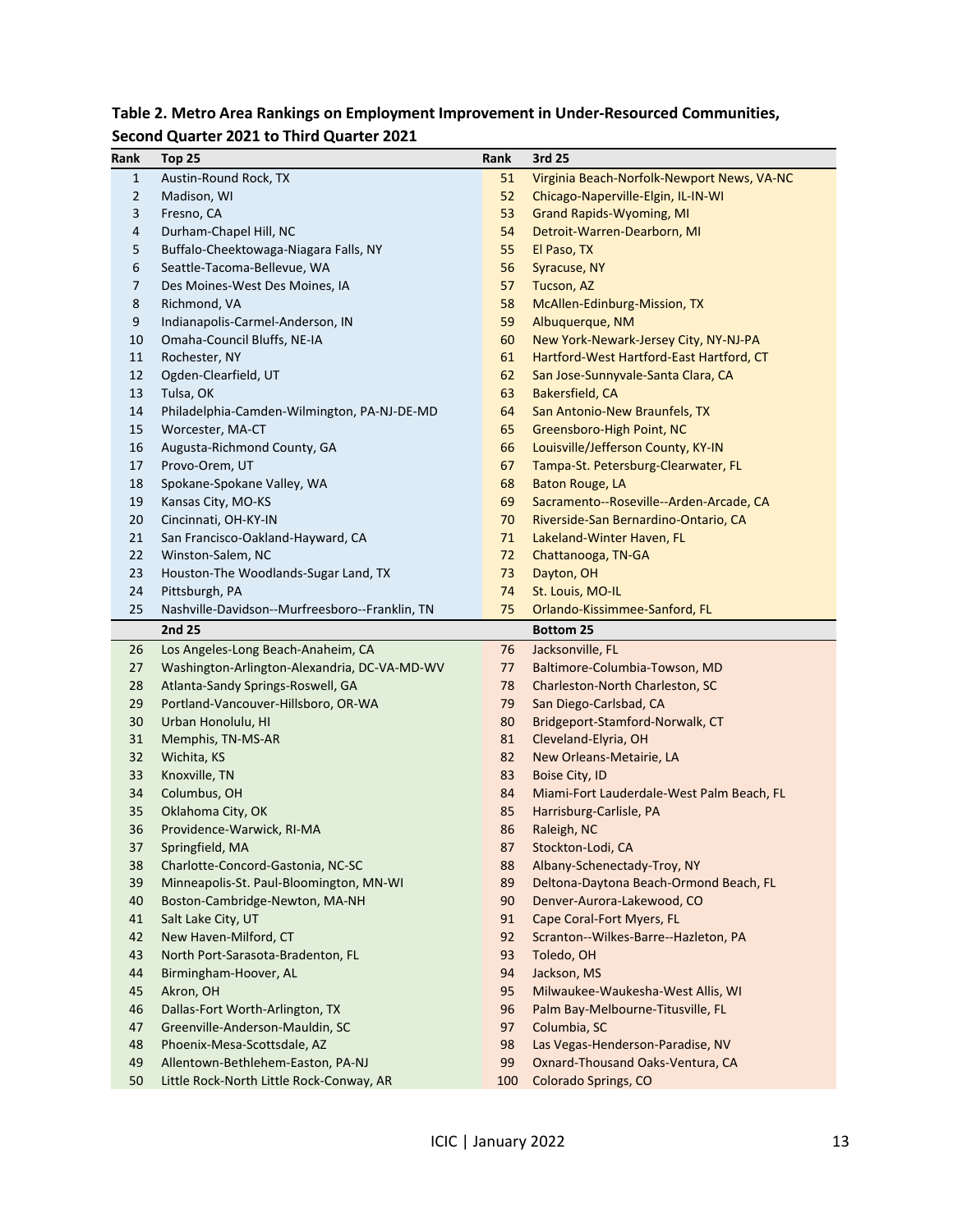| Rank | Top 25                                         | Rank | 3rd 25                                     |
|------|------------------------------------------------|------|--------------------------------------------|
| 1    | Austin-Round Rock, TX                          | 51   | Virginia Beach-Norfolk-Newport News, VA-NC |
| 2    | Madison, WI                                    | 52   | Chicago-Naperville-Elgin, IL-IN-WI         |
| 3    | Fresno, CA                                     | 53   | <b>Grand Rapids-Wyoming, MI</b>            |
| 4    | Durham-Chapel Hill, NC                         | 54   | Detroit-Warren-Dearborn, MI                |
| 5    | Buffalo-Cheektowaga-Niagara Falls, NY          | 55   | El Paso, TX                                |
| 6    | Seattle-Tacoma-Bellevue, WA                    | 56   | Syracuse, NY                               |
| 7    | Des Moines-West Des Moines, IA                 | 57   | Tucson, AZ                                 |
| 8    | Richmond, VA                                   | 58   | McAllen-Edinburg-Mission, TX               |
| 9    | Indianapolis-Carmel-Anderson, IN               | 59   | Albuquerque, NM                            |
| 10   | Omaha-Council Bluffs, NE-IA                    | 60   | New York-Newark-Jersey City, NY-NJ-PA      |
| 11   | Rochester, NY                                  | 61   | Hartford-West Hartford-East Hartford, CT   |
| 12   | Ogden-Clearfield, UT                           | 62   | San Jose-Sunnyvale-Santa Clara, CA         |
| 13   | Tulsa, OK                                      | 63   | Bakersfield, CA                            |
| 14   | Philadelphia-Camden-Wilmington, PA-NJ-DE-MD    | 64   | San Antonio-New Braunfels, TX              |
| 15   | Worcester, MA-CT                               | 65   | Greensboro-High Point, NC                  |
| 16   | Augusta-Richmond County, GA                    | 66   | Louisville/Jefferson County, KY-IN         |
| 17   | Provo-Orem, UT                                 | 67   | Tampa-St. Petersburg-Clearwater, FL        |
| 18   | Spokane-Spokane Valley, WA                     | 68   | <b>Baton Rouge, LA</b>                     |
| 19   | Kansas City, MO-KS                             | 69   | Sacramento--Roseville--Arden-Arcade, CA    |
| 20   | Cincinnati, OH-KY-IN                           | 70   | Riverside-San Bernardino-Ontario, CA       |
| 21   | San Francisco-Oakland-Hayward, CA              | 71   | Lakeland-Winter Haven, FL                  |
| 22   | Winston-Salem, NC                              | 72   | Chattanooga, TN-GA                         |
| 23   | Houston-The Woodlands-Sugar Land, TX           | 73   | Dayton, OH                                 |
| 24   | Pittsburgh, PA                                 | 74   | St. Louis, MO-IL                           |
| 25   | Nashville-Davidson--Murfreesboro--Franklin, TN | 75   | Orlando-Kissimmee-Sanford, FL              |
|      | 2nd 25                                         |      | <b>Bottom 25</b>                           |
| 26   | Los Angeles-Long Beach-Anaheim, CA             | 76   | Jacksonville, FL                           |
| 27   | Washington-Arlington-Alexandria, DC-VA-MD-WV   | 77   | Baltimore-Columbia-Towson, MD              |
| 28   | Atlanta-Sandy Springs-Roswell, GA              | 78   | Charleston-North Charleston, SC            |
| 29   | Portland-Vancouver-Hillsboro, OR-WA            | 79   | San Diego-Carlsbad, CA                     |
| 30   | Urban Honolulu, HI                             | 80   | Bridgeport-Stamford-Norwalk, CT            |
| 31   | Memphis, TN-MS-AR                              | 81   | Cleveland-Elyria, OH                       |
| 32   | Wichita, KS                                    | 82   | New Orleans-Metairie, LA                   |
| 33   | Knoxville, TN                                  | 83   | <b>Boise City, ID</b>                      |
| 34   | Columbus, OH                                   | 84   | Miami-Fort Lauderdale-West Palm Beach, FL  |
| 35   | Oklahoma City, OK                              | 85   | Harrisburg-Carlisle, PA                    |
| 36   | Providence-Warwick, RI-MA                      | 86   | Raleigh, NC                                |
| 37   | Springfield, MA                                | 87   | Stockton-Lodi, CA                          |
| 38   | Charlotte-Concord-Gastonia, NC-SC              | 88   | Albany-Schenectady-Troy, NY                |
| 39   | Minneapolis-St. Paul-Bloomington, MN-WI        | 89   | Deltona-Daytona Beach-Ormond Beach, FL     |
| 40   | Boston-Cambridge-Newton, MA-NH                 | 90   | Denver-Aurora-Lakewood, CO                 |
| 41   | Salt Lake City, UT                             | 91   | Cape Coral-Fort Myers, FL                  |
| 42   | New Haven-Milford, CT                          | 92   | Scranton--Wilkes-Barre--Hazleton, PA       |
| 43   | North Port-Sarasota-Bradenton, FL              | 93   | Toledo, OH                                 |
| 44   | Birmingham-Hoover, AL                          | 94   | Jackson, MS                                |
| 45   | Akron, OH                                      | 95   | Milwaukee-Waukesha-West Allis, WI          |
| 46   | Dallas-Fort Worth-Arlington, TX                | 96   | Palm Bay-Melbourne-Titusville, FL          |
| 47   | Greenville-Anderson-Mauldin, SC                | 97   | Columbia, SC                               |
| 48   | Phoenix-Mesa-Scottsdale, AZ                    | 98   | Las Vegas-Henderson-Paradise, NV           |
| 49   | Allentown-Bethlehem-Easton, PA-NJ              | 99   | Oxnard-Thousand Oaks-Ventura, CA           |
| 50   | Little Rock-North Little Rock-Conway, AR       | 100  | Colorado Springs, CO                       |

# **Table 2. Metro Area Rankings on Employment Improvement in Under-Resourced Communities, Second Quarter 2021 to Third Quarter 2021**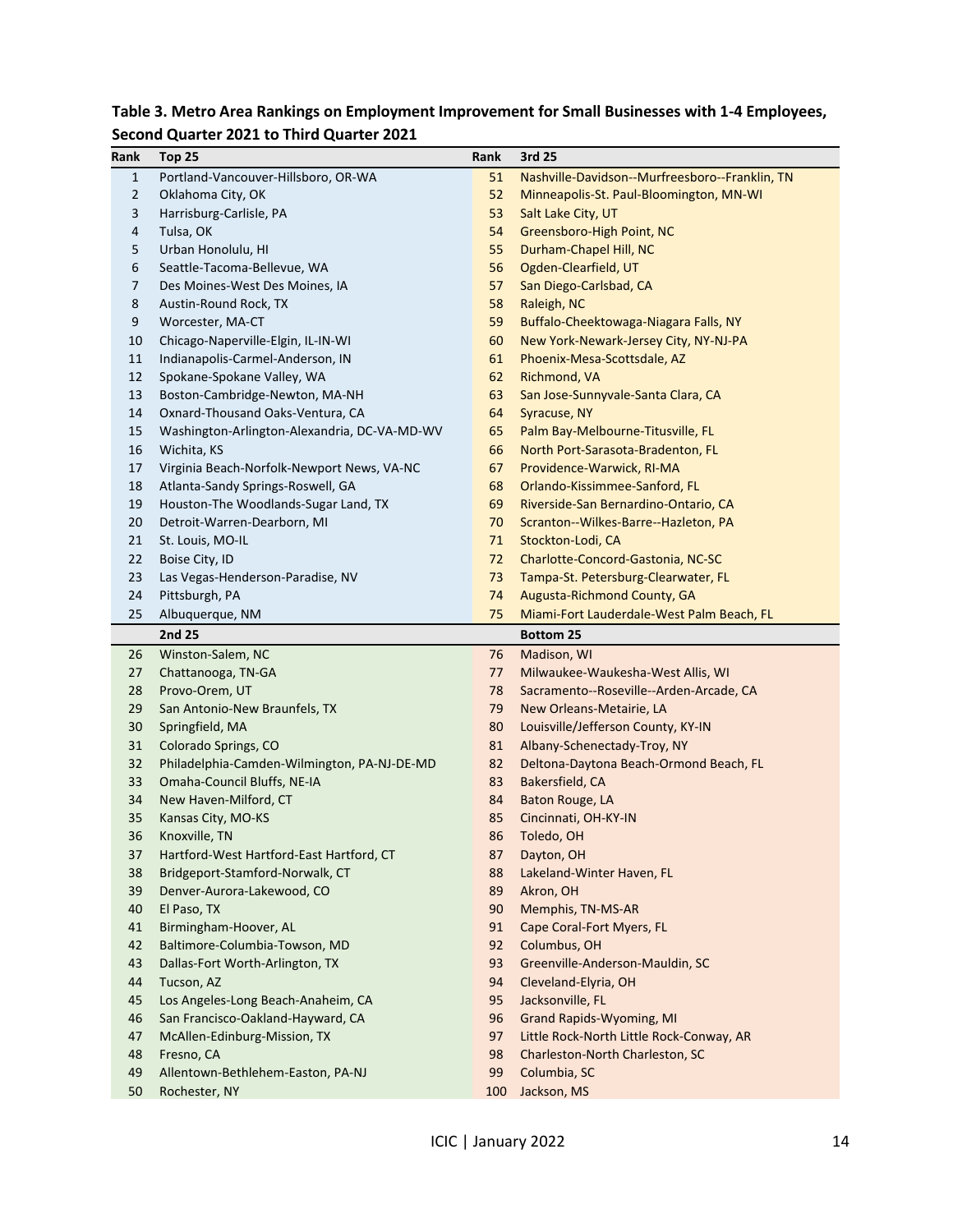| Rank           | Top 25                                       | Rank     | 3rd 25                                                                   |
|----------------|----------------------------------------------|----------|--------------------------------------------------------------------------|
| $\mathbf{1}$   | Portland-Vancouver-Hillsboro, OR-WA          | 51       | Nashville-Davidson--Murfreesboro--Franklin, TN                           |
| $\overline{2}$ | Oklahoma City, OK                            | 52       | Minneapolis-St. Paul-Bloomington, MN-WI                                  |
| 3              | Harrisburg-Carlisle, PA                      | 53       | Salt Lake City, UT                                                       |
| 4              | Tulsa, OK                                    | 54       | Greensboro-High Point, NC                                                |
| 5              | Urban Honolulu, HI                           | 55       | Durham-Chapel Hill, NC                                                   |
| 6              | Seattle-Tacoma-Bellevue, WA                  | 56       | Ogden-Clearfield, UT                                                     |
| 7              | Des Moines-West Des Moines, IA               | 57       | San Diego-Carlsbad, CA                                                   |
| 8              | Austin-Round Rock, TX                        | 58       | Raleigh, NC                                                              |
| 9              | Worcester, MA-CT                             | 59       | Buffalo-Cheektowaga-Niagara Falls, NY                                    |
| 10             | Chicago-Naperville-Elgin, IL-IN-WI           | 60       | New York-Newark-Jersey City, NY-NJ-PA                                    |
| 11             | Indianapolis-Carmel-Anderson, IN             | 61       | Phoenix-Mesa-Scottsdale, AZ                                              |
| 12             | Spokane-Spokane Valley, WA                   | 62       | Richmond, VA                                                             |
| 13             | Boston-Cambridge-Newton, MA-NH               | 63       | San Jose-Sunnyvale-Santa Clara, CA                                       |
| 14             | Oxnard-Thousand Oaks-Ventura, CA             | 64       | Syracuse, NY                                                             |
| 15             | Washington-Arlington-Alexandria, DC-VA-MD-WV | 65       | Palm Bay-Melbourne-Titusville, FL                                        |
| 16             | Wichita, KS                                  | 66       | North Port-Sarasota-Bradenton, FL                                        |
| 17             | Virginia Beach-Norfolk-Newport News, VA-NC   | 67       | Providence-Warwick, RI-MA                                                |
| 18             | Atlanta-Sandy Springs-Roswell, GA            | 68       | Orlando-Kissimmee-Sanford, FL                                            |
| 19             | Houston-The Woodlands-Sugar Land, TX         | 69       | Riverside-San Bernardino-Ontario, CA                                     |
| 20             | Detroit-Warren-Dearborn, MI                  | 70       |                                                                          |
| 21             | St. Louis, MO-IL                             | 71       | Scranton--Wilkes-Barre--Hazleton, PA                                     |
| 22             |                                              | 72       | Stockton-Lodi, CA                                                        |
| 23             | Boise City, ID                               | 73       | Charlotte-Concord-Gastonia, NC-SC<br>Tampa-St. Petersburg-Clearwater, FL |
|                | Las Vegas-Henderson-Paradise, NV             |          |                                                                          |
| 24             | Pittsburgh, PA                               | 74       | Augusta-Richmond County, GA                                              |
| 25             | Albuquerque, NM<br>2nd 25                    | 75       | Miami-Fort Lauderdale-West Palm Beach, FL                                |
|                |                                              | 76       | <b>Bottom 25</b>                                                         |
| 26<br>27       | Winston-Salem, NC                            | 77       | Madison, WI                                                              |
| 28             | Chattanooga, TN-GA                           |          | Milwaukee-Waukesha-West Allis, WI                                        |
| 29             | Provo-Orem, UT                               | 78<br>79 | Sacramento--Roseville--Arden-Arcade, CA                                  |
|                | San Antonio-New Braunfels, TX                |          | New Orleans-Metairie, LA                                                 |
| 30             | Springfield, MA                              | 80       | Louisville/Jefferson County, KY-IN                                       |
| 31             | Colorado Springs, CO                         | 81       | Albany-Schenectady-Troy, NY                                              |
| 32             | Philadelphia-Camden-Wilmington, PA-NJ-DE-MD  | 82       | Deltona-Daytona Beach-Ormond Beach, FL                                   |
| 33             | Omaha-Council Bluffs, NE-IA                  | 83       | Bakersfield, CA                                                          |
| 34             | New Haven-Milford, CT                        | 84       | Baton Rouge, LA                                                          |
| 35             | Kansas City, MO-KS                           | 85       | Cincinnati, OH-KY-IN                                                     |
| 36             | Knoxville, TN                                | 86       | Toledo, OH                                                               |
| 37             | Hartford-West Hartford-East Hartford, CT     | 87       | Dayton, OH                                                               |
| 38             | Bridgeport-Stamford-Norwalk, CT              | 88       | Lakeland-Winter Haven, FL                                                |
| 39             | Denver-Aurora-Lakewood, CO                   | 89       | Akron, OH                                                                |
| 40             | El Paso, TX                                  | 90       | Memphis, TN-MS-AR                                                        |
| 41             | Birmingham-Hoover, AL                        | 91       | Cape Coral-Fort Myers, FL                                                |
| 42             | Baltimore-Columbia-Towson, MD                | 92       | Columbus, OH                                                             |
| 43             | Dallas-Fort Worth-Arlington, TX              | 93       | Greenville-Anderson-Mauldin, SC                                          |
| 44             | Tucson, AZ                                   | 94       | Cleveland-Elyria, OH                                                     |
| 45             | Los Angeles-Long Beach-Anaheim, CA           | 95       | Jacksonville, FL                                                         |
| 46             | San Francisco-Oakland-Hayward, CA            | 96       | <b>Grand Rapids-Wyoming, MI</b>                                          |
| 47             | McAllen-Edinburg-Mission, TX                 | 97       | Little Rock-North Little Rock-Conway, AR                                 |
| 48             | Fresno, CA                                   | 98       | Charleston-North Charleston, SC                                          |
| 49             | Allentown-Bethlehem-Easton, PA-NJ            | 99       | Columbia, SC                                                             |
| 50             | Rochester, NY                                | 100      | Jackson, MS                                                              |

# **Table 3. Metro Area Rankings on Employment Improvement for Small Businesses with 1-4 Employees, Second Quarter 2021 to Third Quarter 2021**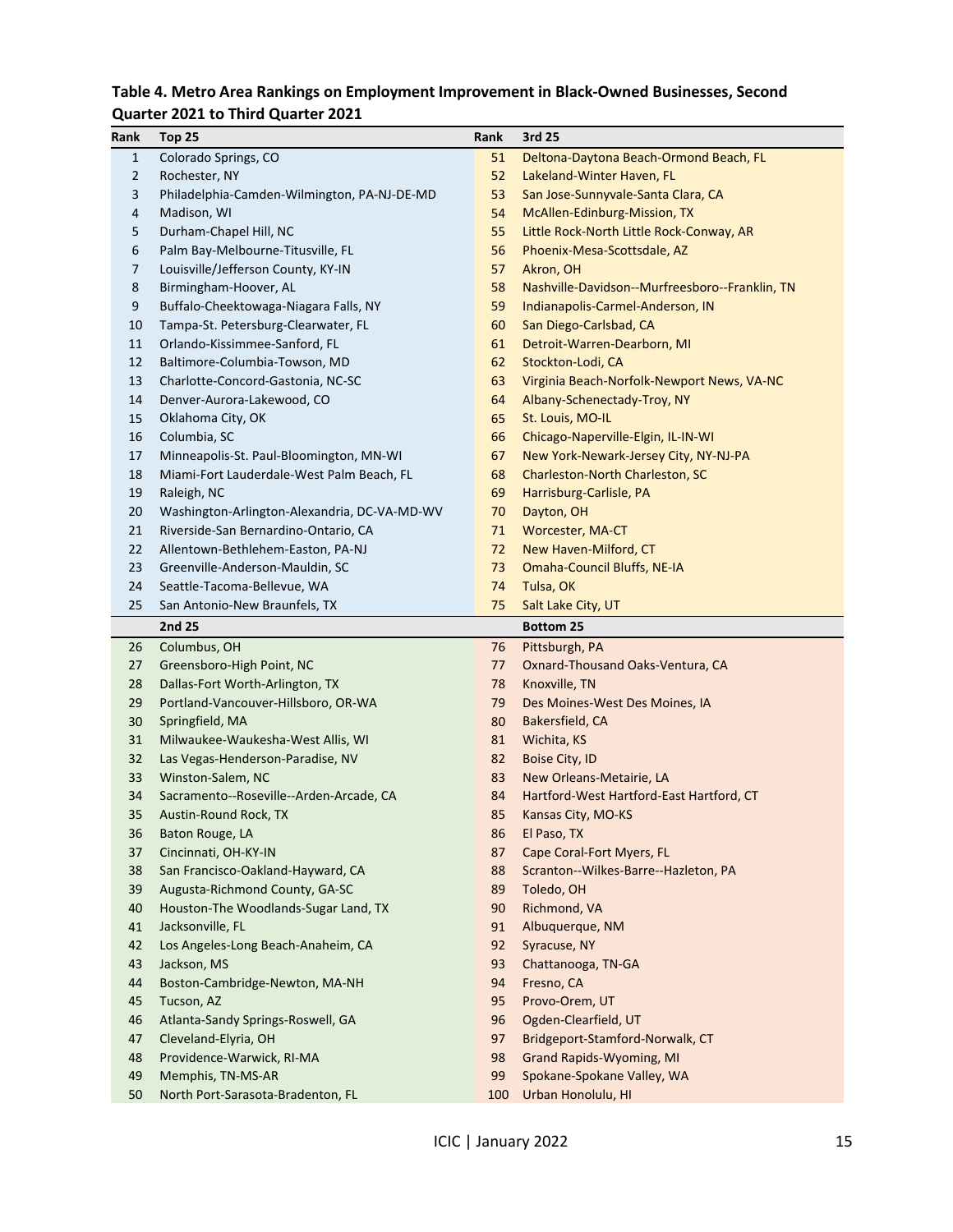# **Table 4. Metro Area Rankings on Employment Improvement in Black-Owned Businesses, Second**

# **Quarter 2021 to Third Quarter 2021**

| Rank     | Top 25                                                 | Rank      | 3rd 25                                           |
|----------|--------------------------------------------------------|-----------|--------------------------------------------------|
| 1        | Colorado Springs, CO                                   | 51        | Deltona-Daytona Beach-Ormond Beach, FL           |
| 2        | Rochester, NY                                          | 52        | Lakeland-Winter Haven, FL                        |
| 3        | Philadelphia-Camden-Wilmington, PA-NJ-DE-MD            | 53        | San Jose-Sunnyvale-Santa Clara, CA               |
| 4        | Madison, WI                                            | 54        | McAllen-Edinburg-Mission, TX                     |
| 5        | Durham-Chapel Hill, NC                                 | 55        | Little Rock-North Little Rock-Conway, AR         |
| 6        | Palm Bay-Melbourne-Titusville, FL                      | 56        | Phoenix-Mesa-Scottsdale, AZ                      |
| 7        | Louisville/Jefferson County, KY-IN                     | 57        | Akron, OH                                        |
| 8        | Birmingham-Hoover, AL                                  | 58        | Nashville-Davidson--Murfreesboro--Franklin, TN   |
| 9        | Buffalo-Cheektowaga-Niagara Falls, NY                  | 59        | Indianapolis-Carmel-Anderson, IN                 |
| 10       | Tampa-St. Petersburg-Clearwater, FL                    | 60        | San Diego-Carlsbad, CA                           |
| 11       | Orlando-Kissimmee-Sanford, FL                          | 61        | Detroit-Warren-Dearborn, MI                      |
| 12       | Baltimore-Columbia-Towson, MD                          | 62        | Stockton-Lodi, CA                                |
| 13       | Charlotte-Concord-Gastonia, NC-SC                      | 63        | Virginia Beach-Norfolk-Newport News, VA-NC       |
| 14       | Denver-Aurora-Lakewood, CO                             | 64        | Albany-Schenectady-Troy, NY                      |
| 15       | Oklahoma City, OK                                      | 65        | St. Louis, MO-IL                                 |
| 16       | Columbia, SC                                           | 66        | Chicago-Naperville-Elgin, IL-IN-WI               |
| 17       | Minneapolis-St. Paul-Bloomington, MN-WI                | 67        | New York-Newark-Jersey City, NY-NJ-PA            |
| 18       | Miami-Fort Lauderdale-West Palm Beach, FL              | 68        | Charleston-North Charleston, SC                  |
| 19       | Raleigh, NC                                            | 69        | Harrisburg-Carlisle, PA                          |
| 20       | Washington-Arlington-Alexandria, DC-VA-MD-WV           | 70        | Dayton, OH                                       |
| 21       | Riverside-San Bernardino-Ontario, CA                   | 71        | <b>Worcester, MA-CT</b>                          |
| 22       | Allentown-Bethlehem-Easton, PA-NJ                      | 72        | New Haven-Milford, CT                            |
| 23       | Greenville-Anderson-Mauldin, SC                        | 73        | <b>Omaha-Council Bluffs, NE-IA</b>               |
| 24       | Seattle-Tacoma-Bellevue, WA                            | 74        | Tulsa, OK                                        |
| 25       | San Antonio-New Braunfels, TX                          | 75        | Salt Lake City, UT                               |
|          | 2nd 25                                                 |           | <b>Bottom 25</b>                                 |
| 26       | Columbus, OH                                           | 76        | Pittsburgh, PA                                   |
| 27       | Greensboro-High Point, NC                              | 77        | Oxnard-Thousand Oaks-Ventura, CA                 |
| 28       | Dallas-Fort Worth-Arlington, TX                        | 78        | Knoxville, TN                                    |
| 29       | Portland-Vancouver-Hillsboro, OR-WA                    | 79        | Des Moines-West Des Moines, IA                   |
| 30       | Springfield, MA                                        | 80        | Bakersfield, CA                                  |
| 31       | Milwaukee-Waukesha-West Allis, WI                      | 81        | Wichita, KS                                      |
| 32       | Las Vegas-Henderson-Paradise, NV                       | 82        | Boise City, ID                                   |
| 33       | Winston-Salem, NC                                      | 83        | New Orleans-Metairie, LA                         |
| 34       | Sacramento--Roseville--Arden-Arcade, CA                | 84        | Hartford-West Hartford-East Hartford, CT         |
| 35       | Austin-Round Rock, TX                                  | 85        | Kansas City, MO-KS                               |
| 36       |                                                        |           |                                                  |
|          | Baton Rouge, LA                                        | 86        | El Paso, TX                                      |
| 37       | Cincinnati, OH-KY-IN                                   | 87        | Cape Coral-Fort Myers, FL                        |
| 38       | San Francisco-Oakland-Hayward, CA                      | 88        | Scranton--Wilkes-Barre--Hazleton, PA             |
| 39       | Augusta-Richmond County, GA-SC                         | 89        | Toledo, OH                                       |
| 40       | Houston-The Woodlands-Sugar Land, TX                   | 90        | Richmond, VA                                     |
| 41       | Jacksonville, FL                                       | 91        | Albuquerque, NM                                  |
| 42       | Los Angeles-Long Beach-Anaheim, CA                     | 92        | Syracuse, NY                                     |
| 43       | Jackson, MS                                            | 93        | Chattanooga, TN-GA                               |
| 44       | Boston-Cambridge-Newton, MA-NH                         | 94        | Fresno, CA                                       |
| 45       | Tucson, AZ                                             | 95        | Provo-Orem, UT                                   |
| 46       | Atlanta-Sandy Springs-Roswell, GA                      | 96        | Ogden-Clearfield, UT                             |
| 47       | Cleveland-Elyria, OH                                   | 97        | Bridgeport-Stamford-Norwalk, CT                  |
| 48       | Providence-Warwick, RI-MA                              | 98        | <b>Grand Rapids-Wyoming, MI</b>                  |
| 49<br>50 | Memphis, TN-MS-AR<br>North Port-Sarasota-Bradenton, FL | 99<br>100 | Spokane-Spokane Valley, WA<br>Urban Honolulu, HI |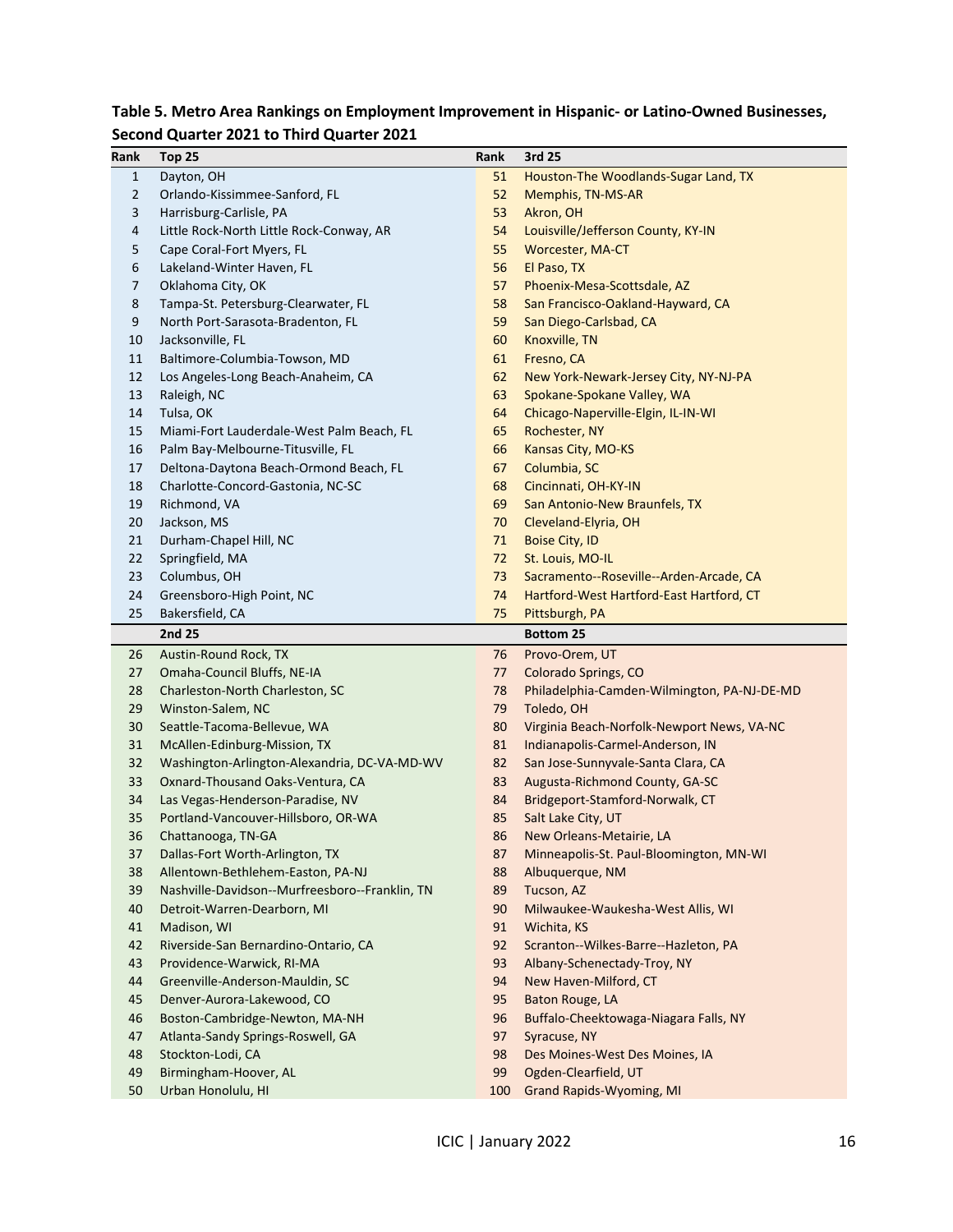| Rank         | Top 25                                         | Rank | 3rd 25                                      |
|--------------|------------------------------------------------|------|---------------------------------------------|
| $\mathbf{1}$ | Dayton, OH                                     | 51   | Houston-The Woodlands-Sugar Land, TX        |
| 2            | Orlando-Kissimmee-Sanford, FL                  | 52   | Memphis, TN-MS-AR                           |
| 3            | Harrisburg-Carlisle, PA                        | 53   | Akron, OH                                   |
| 4            | Little Rock-North Little Rock-Conway, AR       | 54   | Louisville/Jefferson County, KY-IN          |
| 5            | Cape Coral-Fort Myers, FL                      | 55   | <b>Worcester, MA-CT</b>                     |
| 6            | Lakeland-Winter Haven, FL                      | 56   | El Paso, TX                                 |
| 7            | Oklahoma City, OK                              | 57   | Phoenix-Mesa-Scottsdale, AZ                 |
| 8            | Tampa-St. Petersburg-Clearwater, FL            | 58   | San Francisco-Oakland-Hayward, CA           |
| 9            | North Port-Sarasota-Bradenton, FL              | 59   | San Diego-Carlsbad, CA                      |
| 10           | Jacksonville, FL                               | 60   | Knoxville, TN                               |
| 11           | Baltimore-Columbia-Towson, MD                  | 61   | Fresno, CA                                  |
| 12           | Los Angeles-Long Beach-Anaheim, CA             | 62   | New York-Newark-Jersey City, NY-NJ-PA       |
| 13           | Raleigh, NC                                    | 63   | Spokane-Spokane Valley, WA                  |
| 14           | Tulsa, OK                                      | 64   | Chicago-Naperville-Elgin, IL-IN-WI          |
| 15           | Miami-Fort Lauderdale-West Palm Beach, FL      | 65   | Rochester, NY                               |
| 16           | Palm Bay-Melbourne-Titusville, FL              | 66   | Kansas City, MO-KS                          |
| 17           | Deltona-Daytona Beach-Ormond Beach, FL         | 67   | Columbia, SC                                |
| 18           | Charlotte-Concord-Gastonia, NC-SC              | 68   | Cincinnati, OH-KY-IN                        |
| 19           | Richmond, VA                                   | 69   | San Antonio-New Braunfels, TX               |
| 20           | Jackson, MS                                    | 70   | Cleveland-Elyria, OH                        |
| 21           | Durham-Chapel Hill, NC                         | 71   | <b>Boise City, ID</b>                       |
| 22           | Springfield, MA                                | 72   | St. Louis, MO-IL                            |
| 23           | Columbus, OH                                   | 73   | Sacramento--Roseville--Arden-Arcade, CA     |
| 24           | Greensboro-High Point, NC                      | 74   | Hartford-West Hartford-East Hartford, CT    |
| 25           | Bakersfield, CA                                | 75   | Pittsburgh, PA                              |
|              | 2nd 25                                         |      | <b>Bottom 25</b>                            |
| 26           | Austin-Round Rock, TX                          | 76   | Provo-Orem, UT                              |
| 27           | Omaha-Council Bluffs, NE-IA                    | 77   | Colorado Springs, CO                        |
| 28           | Charleston-North Charleston, SC                | 78   | Philadelphia-Camden-Wilmington, PA-NJ-DE-MD |
| 29           | Winston-Salem, NC                              | 79   | Toledo, OH                                  |
| 30           | Seattle-Tacoma-Bellevue, WA                    | 80   | Virginia Beach-Norfolk-Newport News, VA-NC  |
| 31           | McAllen-Edinburg-Mission, TX                   | 81   | Indianapolis-Carmel-Anderson, IN            |
| 32           | Washington-Arlington-Alexandria, DC-VA-MD-WV   | 82   | San Jose-Sunnyvale-Santa Clara, CA          |
| 33           | Oxnard-Thousand Oaks-Ventura, CA               | 83   | Augusta-Richmond County, GA-SC              |
| 34           | Las Vegas-Henderson-Paradise, NV               | 84   | Bridgeport-Stamford-Norwalk, CT             |
| 35           | Portland-Vancouver-Hillsboro, OR-WA            | 85   | Salt Lake City, UT                          |
| 36           | Chattanooga, TN-GA                             | 86   | New Orleans-Metairie, LA                    |
| 37           | Dallas-Fort Worth-Arlington, TX                | 87   | Minneapolis-St. Paul-Bloomington, MN-WI     |
| 38           | Allentown-Bethlehem-Easton, PA-NJ              | 88   | Albuquerque, NM                             |
| 39           | Nashville-Davidson--Murfreesboro--Franklin, TN | 89   | Tucson, AZ                                  |
| 40           | Detroit-Warren-Dearborn, MI                    | 90   | Milwaukee-Waukesha-West Allis, WI           |
| 41           | Madison, WI                                    | 91   | Wichita, KS                                 |
| 42           | Riverside-San Bernardino-Ontario, CA           | 92   | Scranton--Wilkes-Barre--Hazleton, PA        |
| 43           | Providence-Warwick, RI-MA                      | 93   | Albany-Schenectady-Troy, NY                 |
| 44           | Greenville-Anderson-Mauldin, SC                | 94   | New Haven-Milford, CT                       |
| 45           | Denver-Aurora-Lakewood, CO                     | 95   | Baton Rouge, LA                             |
| 46           | Boston-Cambridge-Newton, MA-NH                 | 96   | Buffalo-Cheektowaga-Niagara Falls, NY       |
| 47           | Atlanta-Sandy Springs-Roswell, GA              | 97   | Syracuse, NY                                |
| 48           | Stockton-Lodi, CA                              | 98   | Des Moines-West Des Moines, IA              |
| 49           | Birmingham-Hoover, AL                          | 99   | Ogden-Clearfield, UT                        |
| 50           | Urban Honolulu, HI                             | 100  | <b>Grand Rapids-Wyoming, MI</b>             |

# **Table 5. Metro Area Rankings on Employment Improvement in Hispanic- or Latino-Owned Businesses, Second Quarter 2021 to Third Quarter 2021**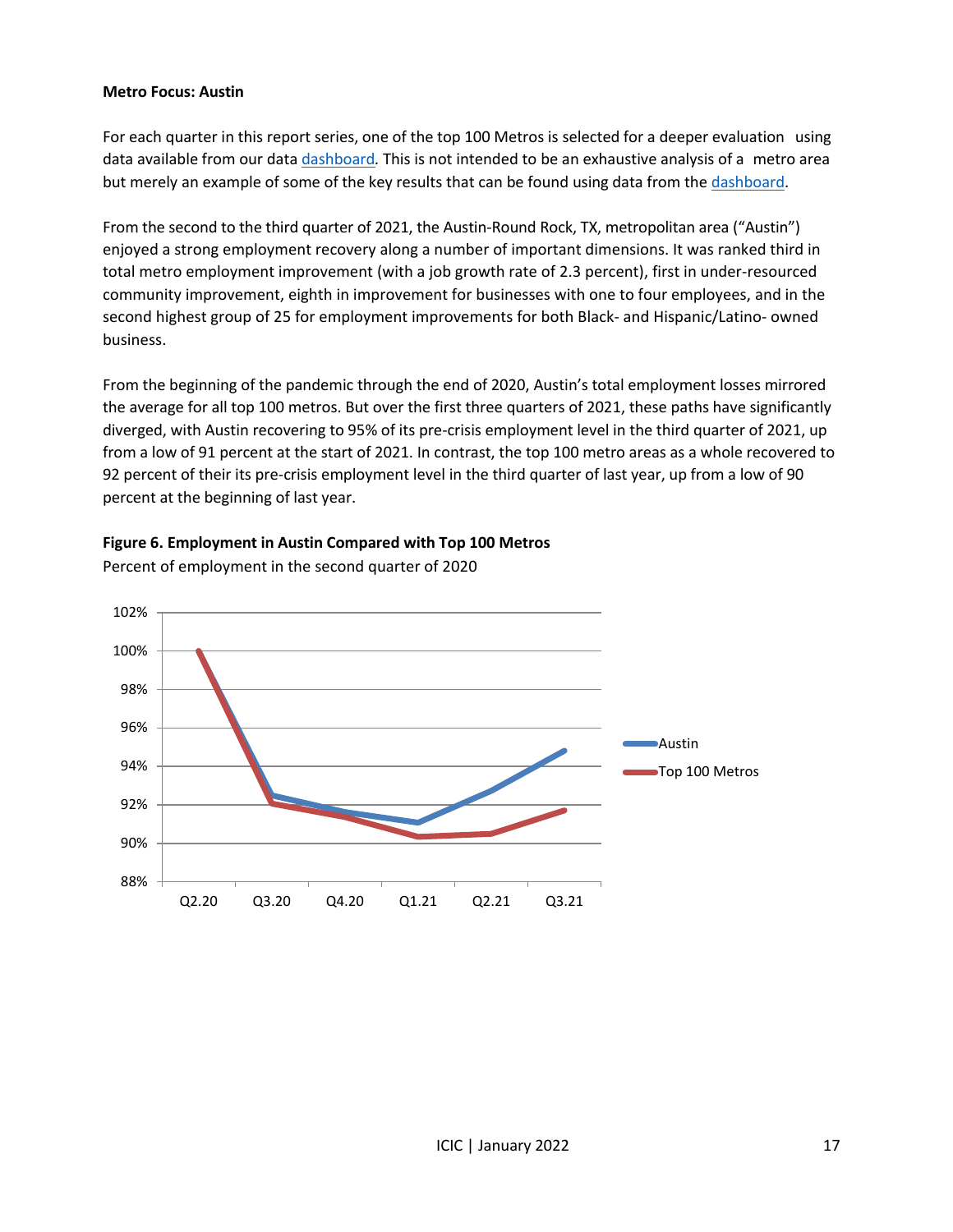#### **Metro Focus: Austin**

For each quarter in this report series, one of the top 100 Metros is selected for a deeper evaluation using data available from our data [dashboard](http://youreconomy.org/topmetrorecoverytracker)*.* This is not intended to be an exhaustive analysis of a metro area but merely an example of some of the key results that can be found using data from the [dashboard.](http://youreconomy.org/topmetrorecoverytracker)

From the second to the third quarter of 2021, the Austin-Round Rock, TX, metropolitan area ("Austin") enjoyed a strong employment recovery along a number of important dimensions. It was ranked third in total metro employment improvement (with a job growth rate of 2.3 percent), first in under-resourced community improvement, eighth in improvement for businesses with one to four employees, and in the second highest group of 25 for employment improvements for both Black- and Hispanic/Latino- owned business.

From the beginning of the pandemic through the end of 2020, Austin's total employment losses mirrored the average for all top 100 metros. But over the first three quarters of 2021, these paths have significantly diverged, with Austin recovering to 95% of its pre-crisis employment level in the third quarter of 2021, up from a low of 91 percent at the start of 2021. In contrast, the top 100 metro areas as a whole recovered to 92 percent of their its pre-crisis employment level in the third quarter of last year, up from a low of 90 percent at the beginning of last year.



**Figure 6. Employment in Austin Compared with Top 100 Metros**

Percent of employment in the second quarter of 2020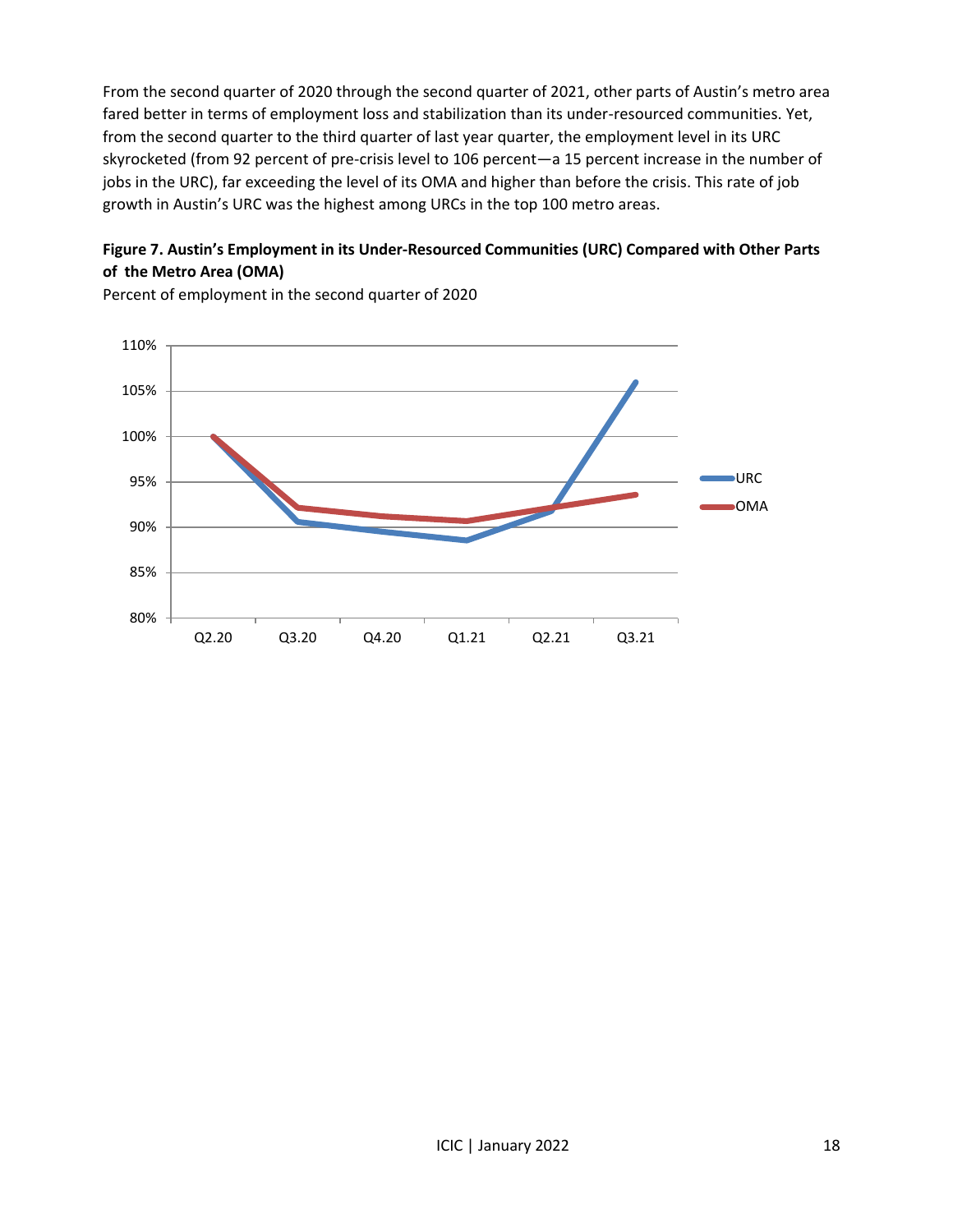From the second quarter of 2020 through the second quarter of 2021, other parts of Austin's metro area fared better in terms of employment loss and stabilization than its under-resourced communities. Yet, from the second quarter to the third quarter of last year quarter, the employment level in its URC skyrocketed (from 92 percent of pre-crisis level to 106 percent—a 15 percent increase in the number of jobs in the URC), far exceeding the level of its OMA and higher than before the crisis. This rate of job growth in Austin's URC was the highest among URCs in the top 100 metro areas.

# **Figure 7. Austin's Employment in its Under-Resourced Communities (URC) Compared with Other Parts of the Metro Area (OMA)**



Percent of employment in the second quarter of 2020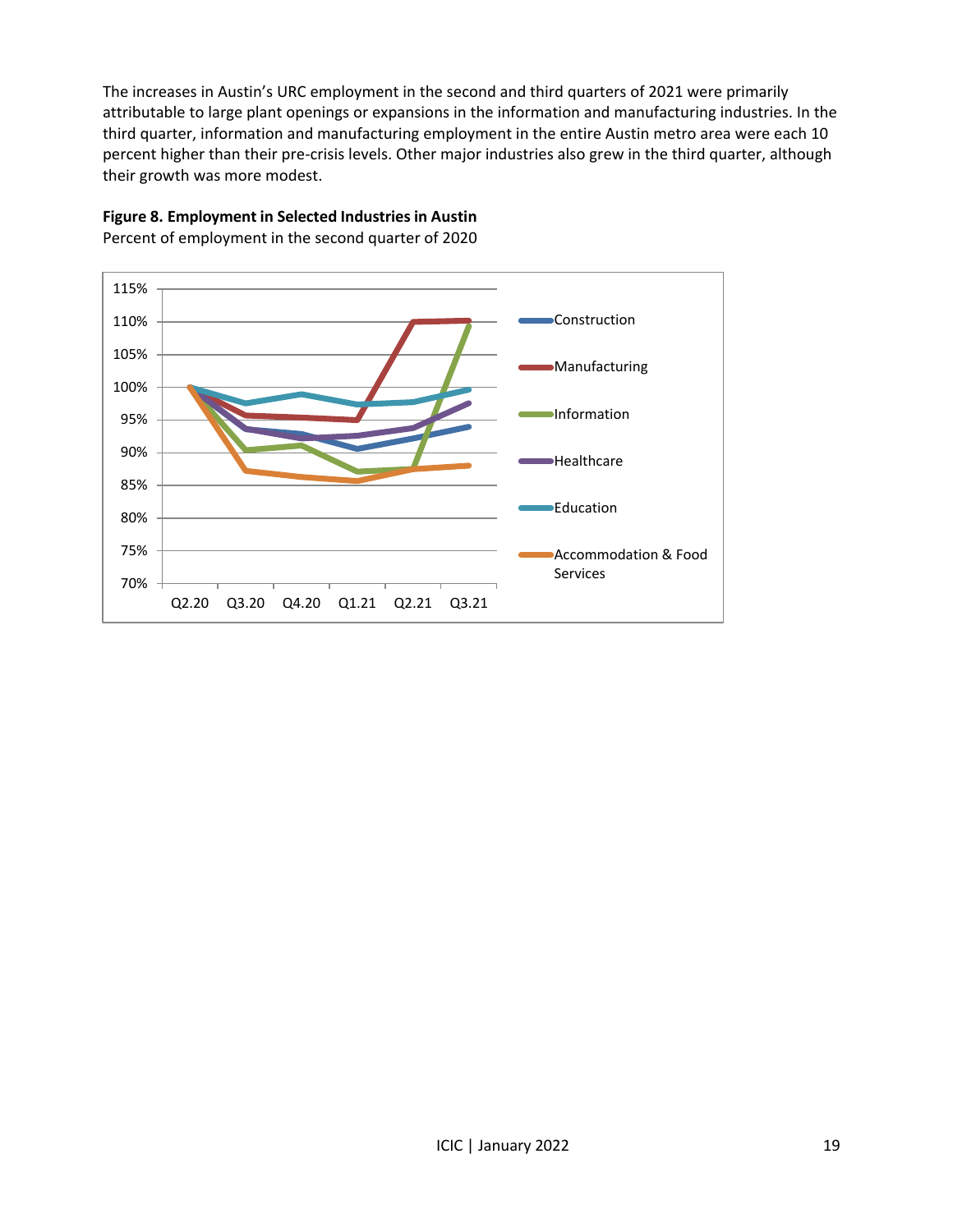The increases in Austin's URC employment in the second and third quarters of 2021 were primarily attributable to large plant openings or expansions in the information and manufacturing industries. In the third quarter, information and manufacturing employment in the entire Austin metro area were each 10 percent higher than their pre-crisis levels. Other major industries also grew in the third quarter, although their growth was more modest.



**Figure 8. Employment in Selected Industries in Austin** Percent of employment in the second quarter of 2020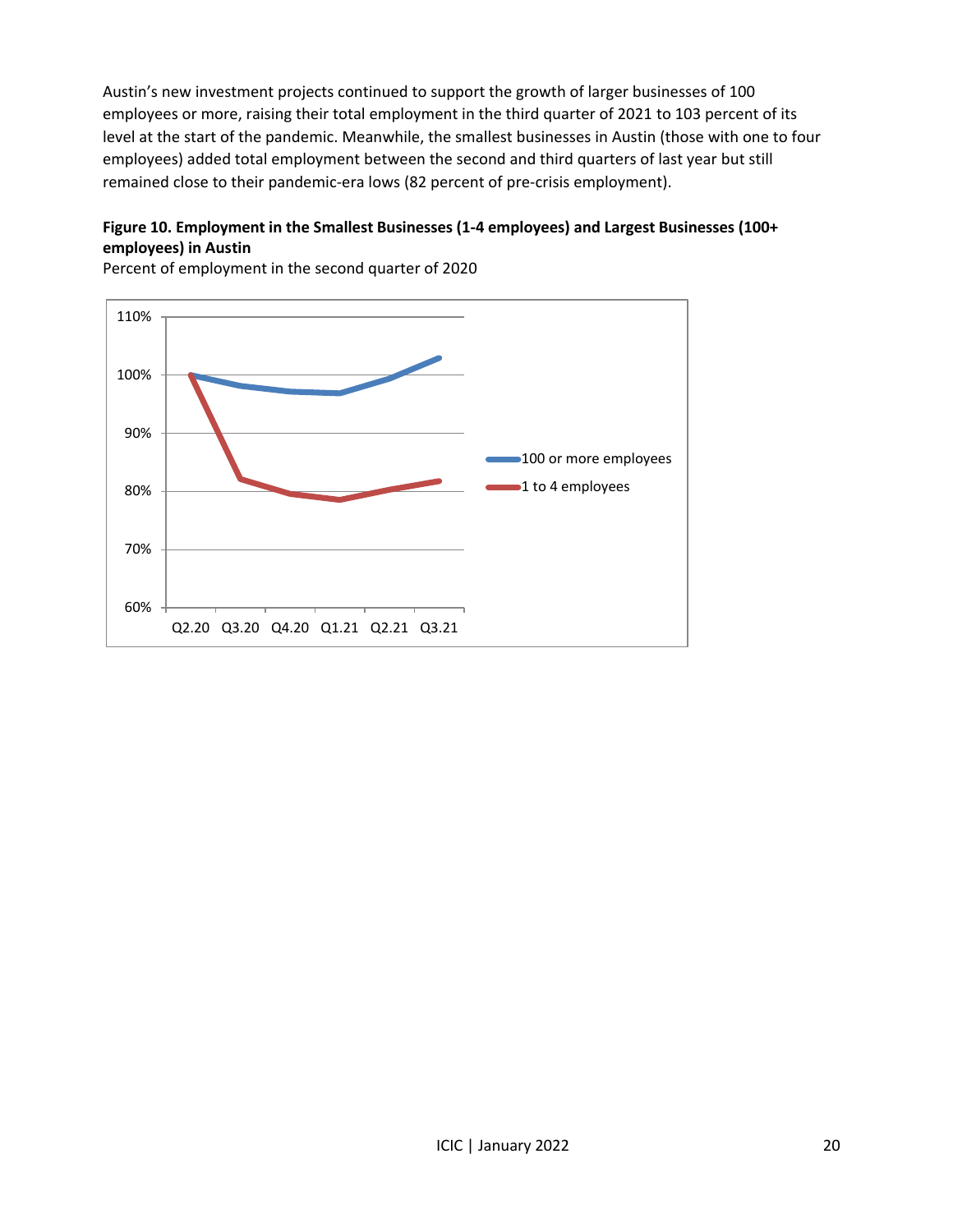Austin's new investment projects continued to support the growth of larger businesses of 100 employees or more, raising their total employment in the third quarter of 2021 to 103 percent of its level at the start of the pandemic. Meanwhile, the smallest businesses in Austin (those with one to four employees) added total employment between the second and third quarters of last year but still remained close to their pandemic-era lows (82 percent of pre-crisis employment).

# **Figure 10. Employment in the Smallest Businesses (1-4 employees) and Largest Businesses (100+ employees) in Austin**



Percent of employment in the second quarter of 2020